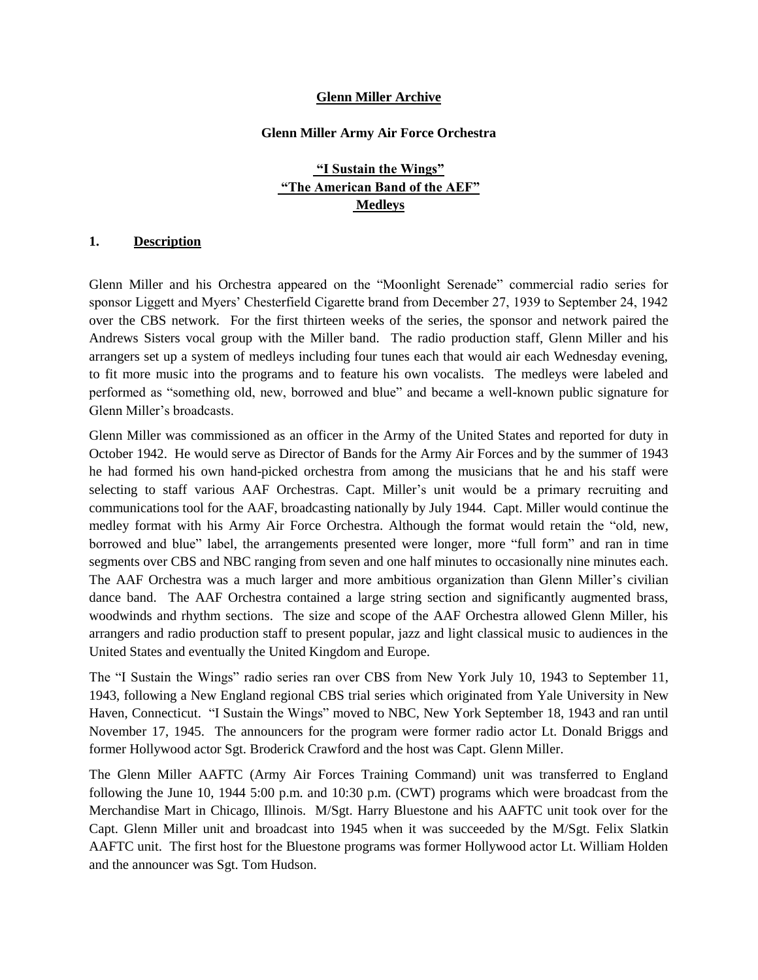#### **Glenn Miller Archive**

#### **Glenn Miller Army Air Force Orchestra**

# **"I Sustain the Wings" "The American Band of the AEF" Medleys**

#### **1. Description**

Glenn Miller and his Orchestra appeared on the "Moonlight Serenade" commercial radio series for sponsor Liggett and Myers" Chesterfield Cigarette brand from December 27, 1939 to September 24, 1942 over the CBS network. For the first thirteen weeks of the series, the sponsor and network paired the Andrews Sisters vocal group with the Miller band. The radio production staff, Glenn Miller and his arrangers set up a system of medleys including four tunes each that would air each Wednesday evening, to fit more music into the programs and to feature his own vocalists. The medleys were labeled and performed as "something old, new, borrowed and blue" and became a well-known public signature for Glenn Miller"s broadcasts.

Glenn Miller was commissioned as an officer in the Army of the United States and reported for duty in October 1942. He would serve as Director of Bands for the Army Air Forces and by the summer of 1943 he had formed his own hand-picked orchestra from among the musicians that he and his staff were selecting to staff various AAF Orchestras. Capt. Miller's unit would be a primary recruiting and communications tool for the AAF, broadcasting nationally by July 1944. Capt. Miller would continue the medley format with his Army Air Force Orchestra. Although the format would retain the "old, new, borrowed and blue" label, the arrangements presented were longer, more "full form" and ran in time segments over CBS and NBC ranging from seven and one half minutes to occasionally nine minutes each. The AAF Orchestra was a much larger and more ambitious organization than Glenn Miller"s civilian dance band. The AAF Orchestra contained a large string section and significantly augmented brass, woodwinds and rhythm sections. The size and scope of the AAF Orchestra allowed Glenn Miller, his arrangers and radio production staff to present popular, jazz and light classical music to audiences in the United States and eventually the United Kingdom and Europe.

The "I Sustain the Wings" radio series ran over CBS from New York July 10, 1943 to September 11, 1943, following a New England regional CBS trial series which originated from Yale University in New Haven, Connecticut. "I Sustain the Wings" moved to NBC, New York September 18, 1943 and ran until November 17, 1945. The announcers for the program were former radio actor Lt. Donald Briggs and former Hollywood actor Sgt. Broderick Crawford and the host was Capt. Glenn Miller.

The Glenn Miller AAFTC (Army Air Forces Training Command) unit was transferred to England following the June 10, 1944 5:00 p.m. and 10:30 p.m. (CWT) programs which were broadcast from the Merchandise Mart in Chicago, Illinois. M/Sgt. Harry Bluestone and his AAFTC unit took over for the Capt. Glenn Miller unit and broadcast into 1945 when it was succeeded by the M/Sgt. Felix Slatkin AAFTC unit. The first host for the Bluestone programs was former Hollywood actor Lt. William Holden and the announcer was Sgt. Tom Hudson.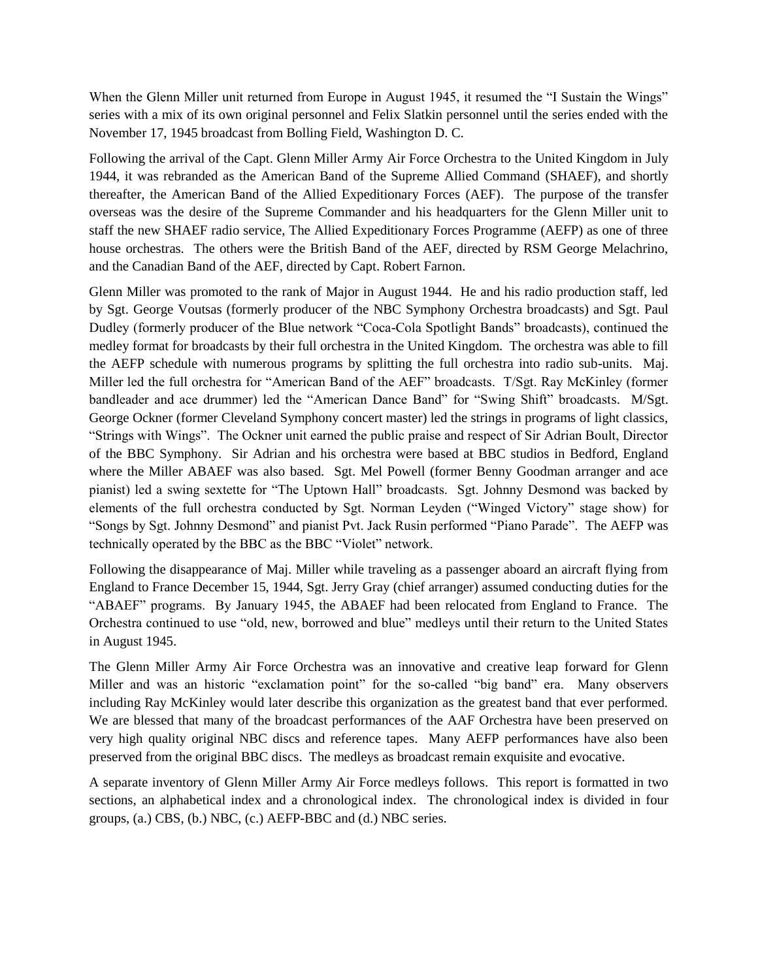When the Glenn Miller unit returned from Europe in August 1945, it resumed the "I Sustain the Wings" series with a mix of its own original personnel and Felix Slatkin personnel until the series ended with the November 17, 1945 broadcast from Bolling Field, Washington D. C.

Following the arrival of the Capt. Glenn Miller Army Air Force Orchestra to the United Kingdom in July 1944, it was rebranded as the American Band of the Supreme Allied Command (SHAEF), and shortly thereafter, the American Band of the Allied Expeditionary Forces (AEF). The purpose of the transfer overseas was the desire of the Supreme Commander and his headquarters for the Glenn Miller unit to staff the new SHAEF radio service, The Allied Expeditionary Forces Programme (AEFP) as one of three house orchestras. The others were the British Band of the AEF, directed by RSM George Melachrino, and the Canadian Band of the AEF, directed by Capt. Robert Farnon.

Glenn Miller was promoted to the rank of Major in August 1944. He and his radio production staff, led by Sgt. George Voutsas (formerly producer of the NBC Symphony Orchestra broadcasts) and Sgt. Paul Dudley (formerly producer of the Blue network "Coca-Cola Spotlight Bands" broadcasts), continued the medley format for broadcasts by their full orchestra in the United Kingdom. The orchestra was able to fill the AEFP schedule with numerous programs by splitting the full orchestra into radio sub-units. Maj. Miller led the full orchestra for "American Band of the AEF" broadcasts. T/Sgt. Ray McKinley (former bandleader and ace drummer) led the "American Dance Band" for "Swing Shift" broadcasts. M/Sgt. George Ockner (former Cleveland Symphony concert master) led the strings in programs of light classics, "Strings with Wings". The Ockner unit earned the public praise and respect of Sir Adrian Boult, Director of the BBC Symphony. Sir Adrian and his orchestra were based at BBC studios in Bedford, England where the Miller ABAEF was also based. Sgt. Mel Powell (former Benny Goodman arranger and ace pianist) led a swing sextette for "The Uptown Hall" broadcasts. Sgt. Johnny Desmond was backed by elements of the full orchestra conducted by Sgt. Norman Leyden ("Winged Victory" stage show) for "Songs by Sgt. Johnny Desmond" and pianist Pvt. Jack Rusin performed "Piano Parade". The AEFP was technically operated by the BBC as the BBC "Violet" network.

Following the disappearance of Maj. Miller while traveling as a passenger aboard an aircraft flying from England to France December 15, 1944, Sgt. Jerry Gray (chief arranger) assumed conducting duties for the "ABAEF" programs. By January 1945, the ABAEF had been relocated from England to France. The Orchestra continued to use "old, new, borrowed and blue" medleys until their return to the United States in August 1945.

The Glenn Miller Army Air Force Orchestra was an innovative and creative leap forward for Glenn Miller and was an historic "exclamation point" for the so-called "big band" era. Many observers including Ray McKinley would later describe this organization as the greatest band that ever performed. We are blessed that many of the broadcast performances of the AAF Orchestra have been preserved on very high quality original NBC discs and reference tapes. Many AEFP performances have also been preserved from the original BBC discs. The medleys as broadcast remain exquisite and evocative.

A separate inventory of Glenn Miller Army Air Force medleys follows. This report is formatted in two sections, an alphabetical index and a chronological index. The chronological index is divided in four groups, (a.) CBS, (b.) NBC, (c.) AEFP-BBC and (d.) NBC series.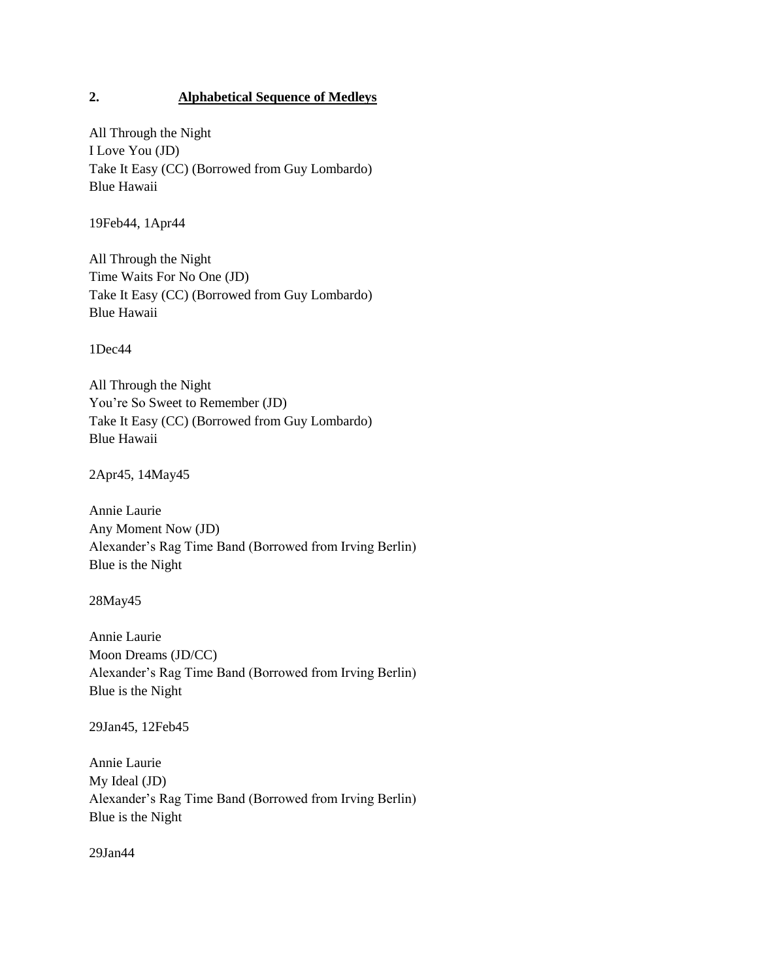## **2. Alphabetical Sequence of Medleys**

All Through the Night I Love You (JD) Take It Easy (CC) (Borrowed from Guy Lombardo) Blue Hawaii

19Feb44, 1Apr44

All Through the Night Time Waits For No One (JD) Take It Easy (CC) (Borrowed from Guy Lombardo) Blue Hawaii

1Dec44

All Through the Night You"re So Sweet to Remember (JD) Take It Easy (CC) (Borrowed from Guy Lombardo) Blue Hawaii

2Apr45, 14May45

Annie Laurie Any Moment Now (JD) Alexander"s Rag Time Band (Borrowed from Irving Berlin) Blue is the Night

28May45

Annie Laurie Moon Dreams (JD/CC) Alexander"s Rag Time Band (Borrowed from Irving Berlin) Blue is the Night

29Jan45, 12Feb45

Annie Laurie My Ideal (JD) Alexander"s Rag Time Band (Borrowed from Irving Berlin) Blue is the Night

29Jan44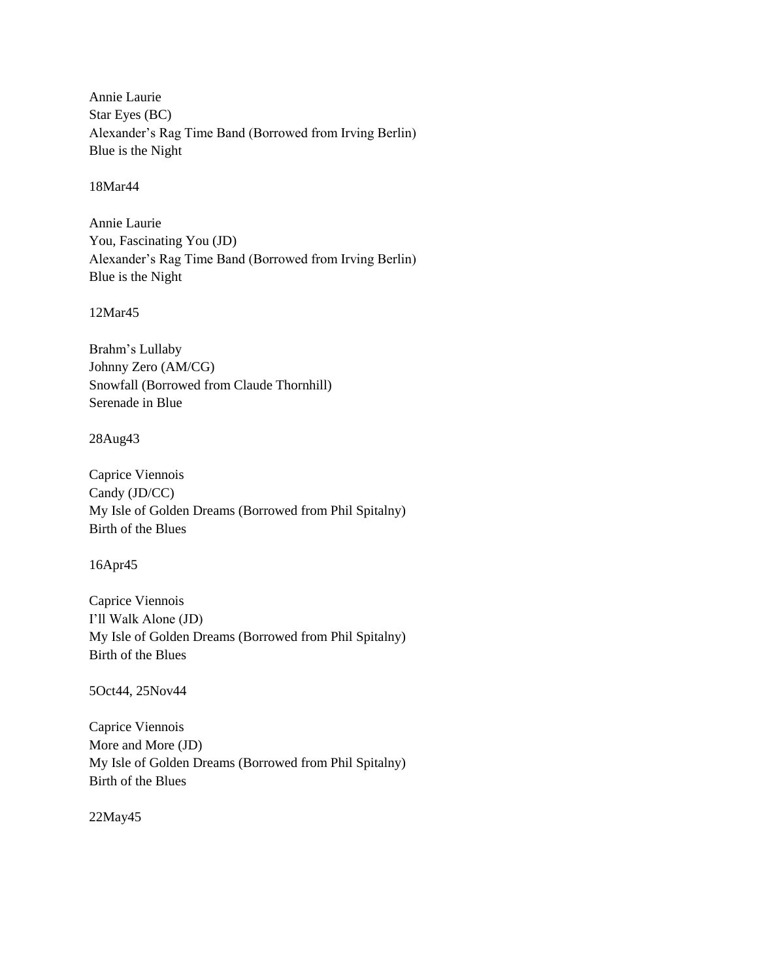Annie Laurie Star Eyes (BC) Alexander"s Rag Time Band (Borrowed from Irving Berlin) Blue is the Night

18Mar44

Annie Laurie You, Fascinating You (JD) Alexander"s Rag Time Band (Borrowed from Irving Berlin) Blue is the Night

12Mar45

Brahm"s Lullaby Johnny Zero (AM/CG) Snowfall (Borrowed from Claude Thornhill) Serenade in Blue

28Aug43

Caprice Viennois Candy (JD/CC) My Isle of Golden Dreams (Borrowed from Phil Spitalny) Birth of the Blues

16Apr45

Caprice Viennois I"ll Walk Alone (JD) My Isle of Golden Dreams (Borrowed from Phil Spitalny) Birth of the Blues

5Oct44, 25Nov44

Caprice Viennois More and More (JD) My Isle of Golden Dreams (Borrowed from Phil Spitalny) Birth of the Blues

22May45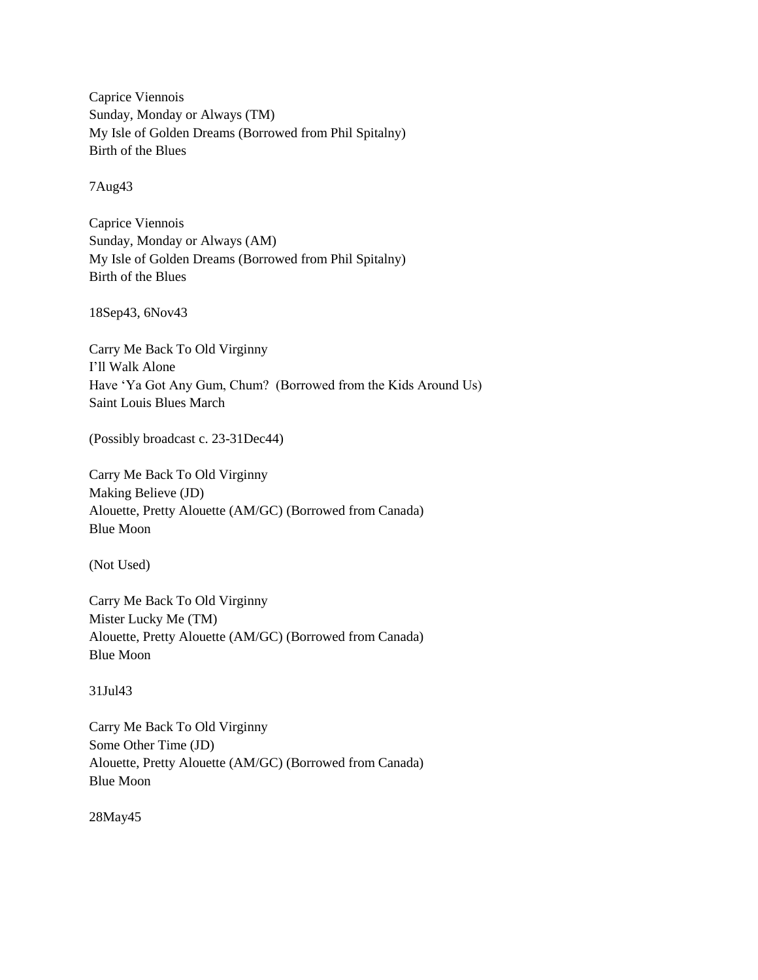Caprice Viennois Sunday, Monday or Always (TM) My Isle of Golden Dreams (Borrowed from Phil Spitalny) Birth of the Blues

7Aug43

Caprice Viennois Sunday, Monday or Always (AM) My Isle of Golden Dreams (Borrowed from Phil Spitalny) Birth of the Blues

18Sep43, 6Nov43

Carry Me Back To Old Virginny I"ll Walk Alone Have "Ya Got Any Gum, Chum? (Borrowed from the Kids Around Us) Saint Louis Blues March

(Possibly broadcast c. 23-31Dec44)

Carry Me Back To Old Virginny Making Believe (JD) Alouette, Pretty Alouette (AM/GC) (Borrowed from Canada) Blue Moon

(Not Used)

Carry Me Back To Old Virginny Mister Lucky Me (TM) Alouette, Pretty Alouette (AM/GC) (Borrowed from Canada) Blue Moon

31Jul43

Carry Me Back To Old Virginny Some Other Time (JD) Alouette, Pretty Alouette (AM/GC) (Borrowed from Canada) Blue Moon

28May45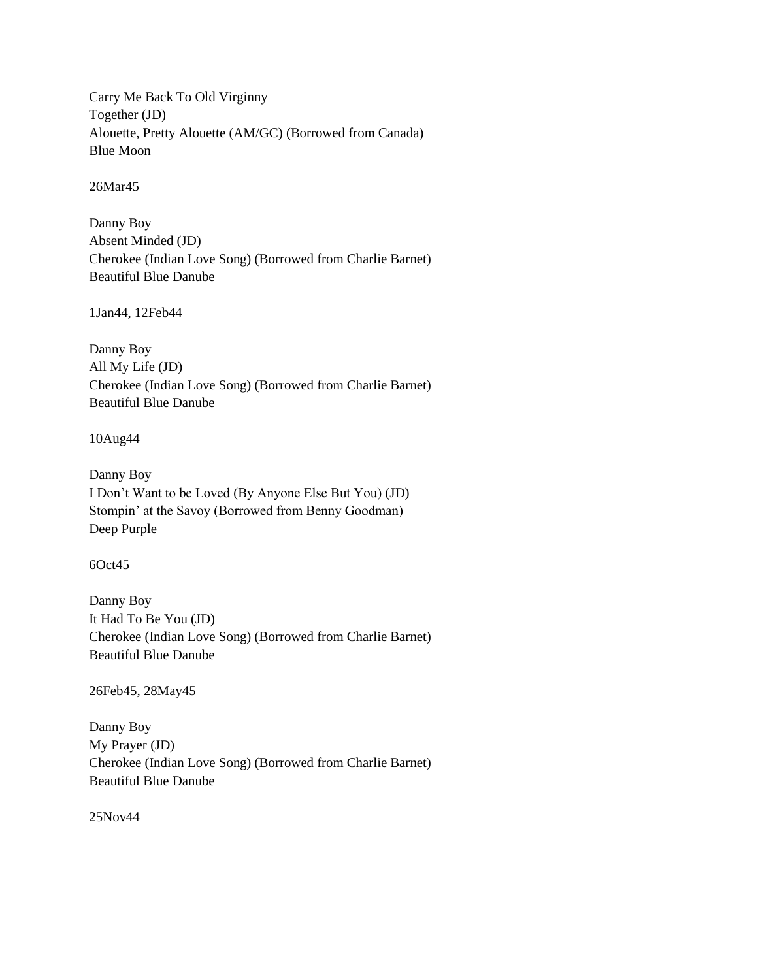Carry Me Back To Old Virginny Together (JD) Alouette, Pretty Alouette (AM/GC) (Borrowed from Canada) Blue Moon

26Mar45

Danny Boy Absent Minded (JD) Cherokee (Indian Love Song) (Borrowed from Charlie Barnet) Beautiful Blue Danube

1Jan44, 12Feb44

Danny Boy All My Life (JD) Cherokee (Indian Love Song) (Borrowed from Charlie Barnet) Beautiful Blue Danube

10Aug44

Danny Boy I Don"t Want to be Loved (By Anyone Else But You) (JD) Stompin" at the Savoy (Borrowed from Benny Goodman) Deep Purple

6Oct45

Danny Boy It Had To Be You (JD) Cherokee (Indian Love Song) (Borrowed from Charlie Barnet) Beautiful Blue Danube

26Feb45, 28May45

Danny Boy My Prayer (JD) Cherokee (Indian Love Song) (Borrowed from Charlie Barnet) Beautiful Blue Danube

25Nov44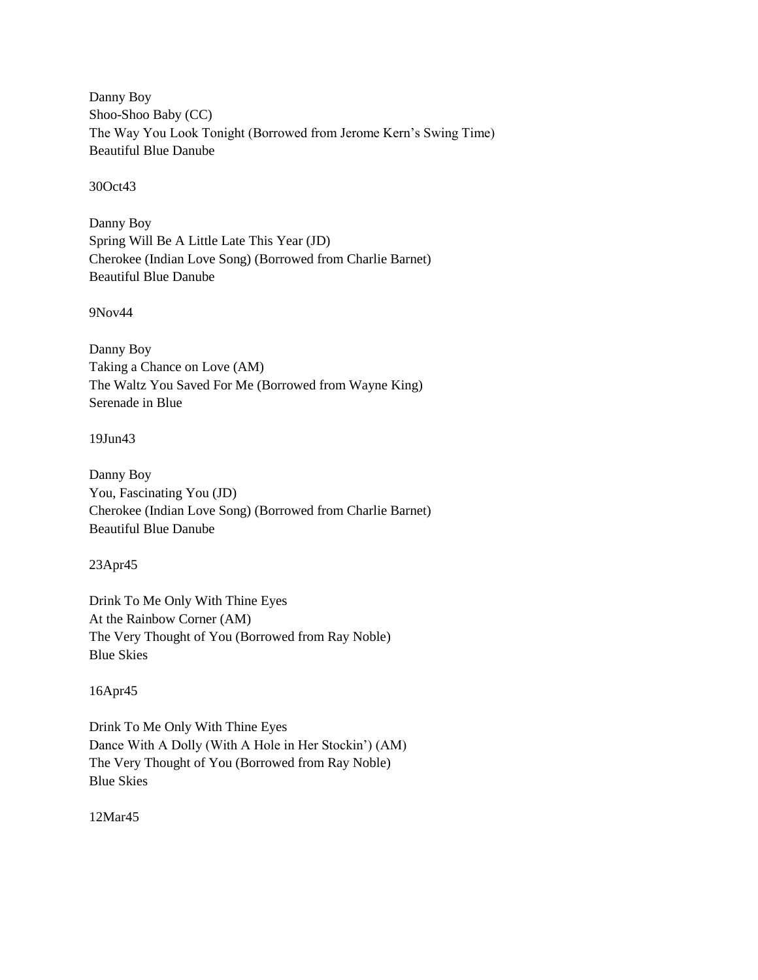Danny Boy Shoo-Shoo Baby (CC) The Way You Look Tonight (Borrowed from Jerome Kern"s Swing Time) Beautiful Blue Danube

30Oct43

Danny Boy Spring Will Be A Little Late This Year (JD) Cherokee (Indian Love Song) (Borrowed from Charlie Barnet) Beautiful Blue Danube

9Nov44

Danny Boy Taking a Chance on Love (AM) The Waltz You Saved For Me (Borrowed from Wayne King) Serenade in Blue

19Jun43

Danny Boy You, Fascinating You (JD) Cherokee (Indian Love Song) (Borrowed from Charlie Barnet) Beautiful Blue Danube

23Apr45

Drink To Me Only With Thine Eyes At the Rainbow Corner (AM) The Very Thought of You (Borrowed from Ray Noble) Blue Skies

16Apr45

Drink To Me Only With Thine Eyes Dance With A Dolly (With A Hole in Her Stockin") (AM) The Very Thought of You (Borrowed from Ray Noble) Blue Skies

12Mar45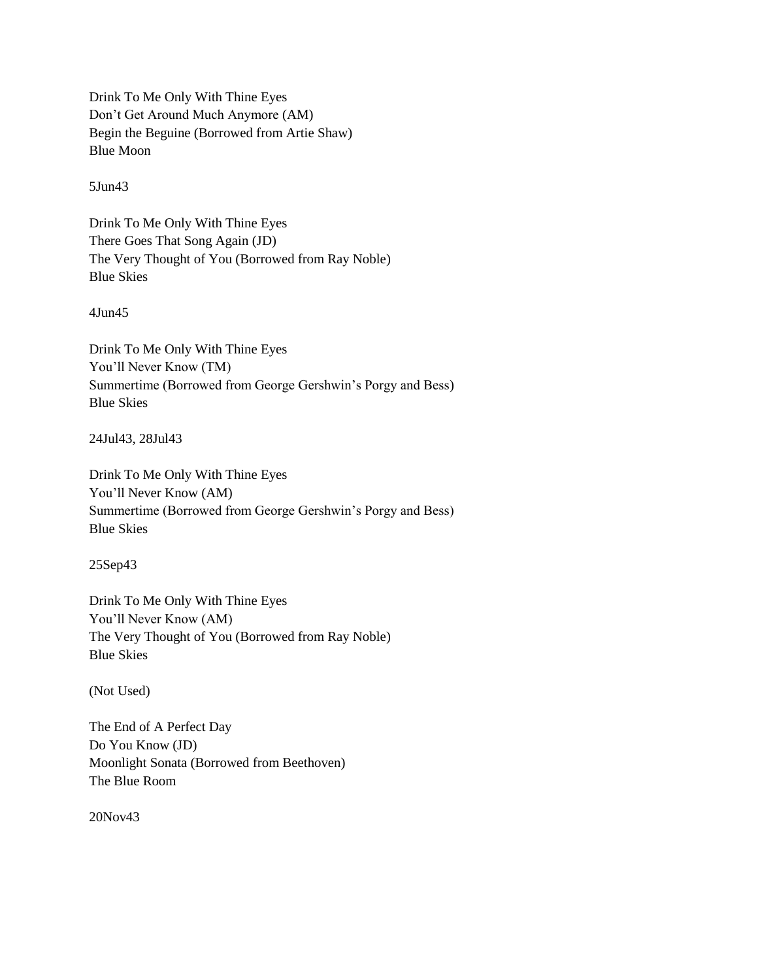Drink To Me Only With Thine Eyes Don"t Get Around Much Anymore (AM) Begin the Beguine (Borrowed from Artie Shaw) Blue Moon

5Jun43

Drink To Me Only With Thine Eyes There Goes That Song Again (JD) The Very Thought of You (Borrowed from Ray Noble) Blue Skies

4Jun45

Drink To Me Only With Thine Eyes You"ll Never Know (TM) Summertime (Borrowed from George Gershwin"s Porgy and Bess) Blue Skies

24Jul43, 28Jul43

Drink To Me Only With Thine Eyes You"ll Never Know (AM) Summertime (Borrowed from George Gershwin"s Porgy and Bess) Blue Skies

25Sep43

Drink To Me Only With Thine Eyes You"ll Never Know (AM) The Very Thought of You (Borrowed from Ray Noble) Blue Skies

(Not Used)

The End of A Perfect Day Do You Know (JD) Moonlight Sonata (Borrowed from Beethoven) The Blue Room

20Nov43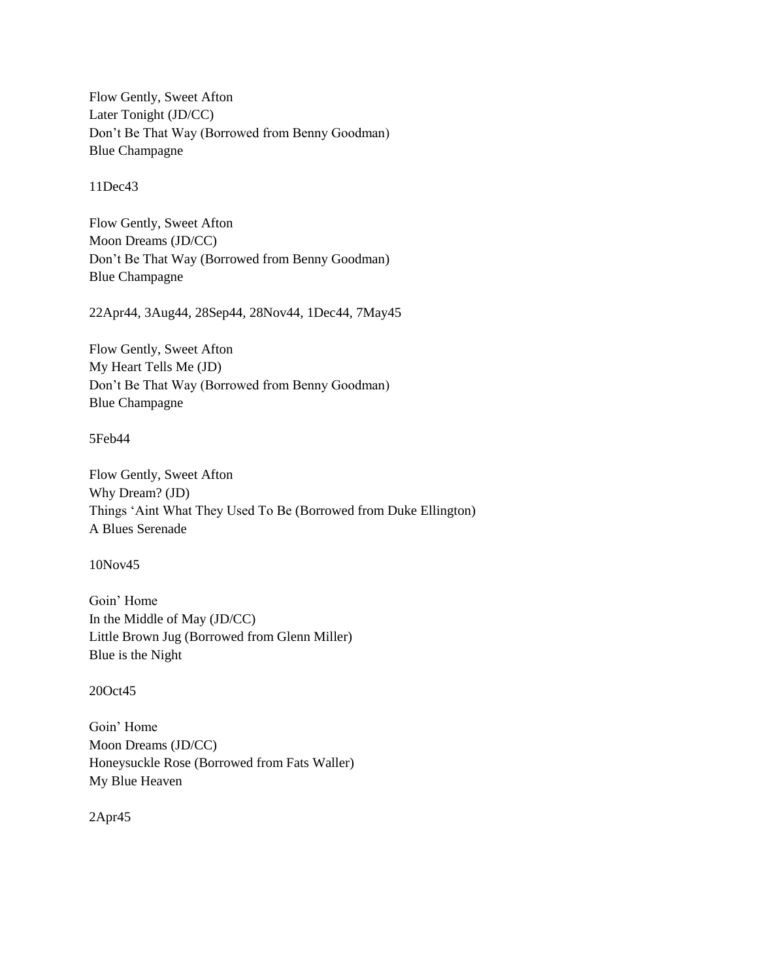Flow Gently, Sweet Afton Later Tonight (JD/CC) Don"t Be That Way (Borrowed from Benny Goodman) Blue Champagne

11Dec43

Flow Gently, Sweet Afton Moon Dreams (JD/CC) Don"t Be That Way (Borrowed from Benny Goodman) Blue Champagne

22Apr44, 3Aug44, 28Sep44, 28Nov44, 1Dec44, 7May45

Flow Gently, Sweet Afton My Heart Tells Me (JD) Don"t Be That Way (Borrowed from Benny Goodman) Blue Champagne

5Feb44

Flow Gently, Sweet Afton Why Dream? (JD) Things "Aint What They Used To Be (Borrowed from Duke Ellington) A Blues Serenade

10Nov45

Goin" Home In the Middle of May (JD/CC) Little Brown Jug (Borrowed from Glenn Miller) Blue is the Night

20Oct45

Goin" Home Moon Dreams (JD/CC) Honeysuckle Rose (Borrowed from Fats Waller) My Blue Heaven

2Apr45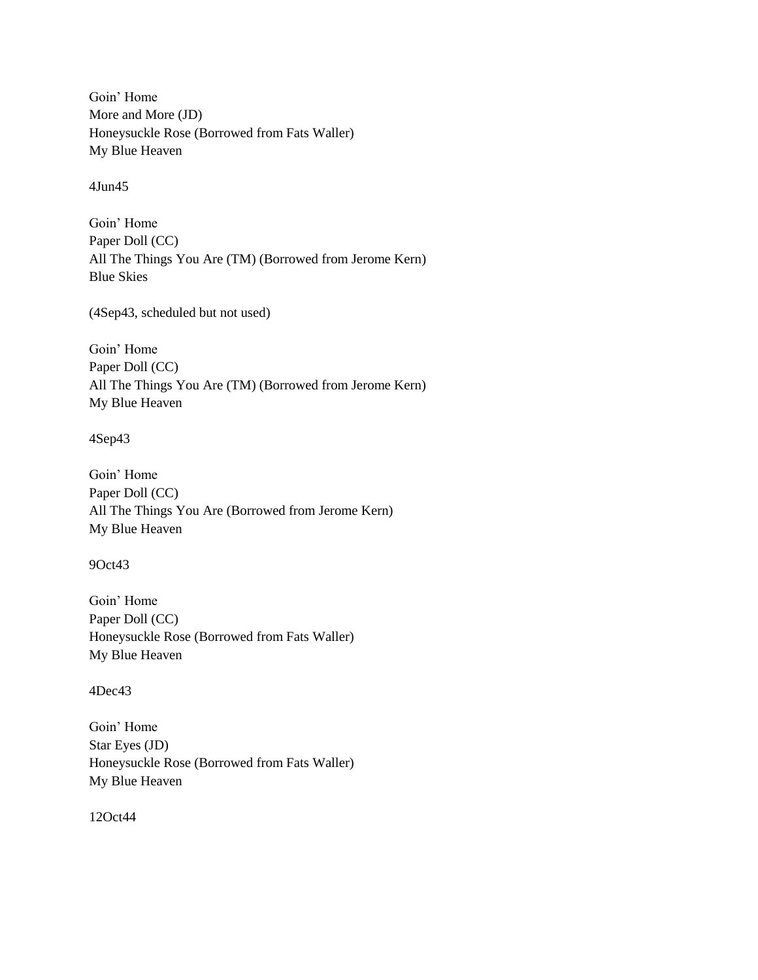Goin" Home More and More (JD) Honeysuckle Rose (Borrowed from Fats Waller) My Blue Heaven

4Jun45

Goin" Home Paper Doll (CC) All The Things You Are (TM) (Borrowed from Jerome Kern) Blue Skies

(4Sep43, scheduled but not used)

Goin" Home Paper Doll (CC) All The Things You Are (TM) (Borrowed from Jerome Kern) My Blue Heaven

4Sep43

Goin" Home Paper Doll (CC) All The Things You Are (Borrowed from Jerome Kern) My Blue Heaven

9Oct43

Goin" Home Paper Doll (CC) Honeysuckle Rose (Borrowed from Fats Waller) My Blue Heaven

4Dec43

Goin" Home Star Eyes (JD) Honeysuckle Rose (Borrowed from Fats Waller) My Blue Heaven

12Oct44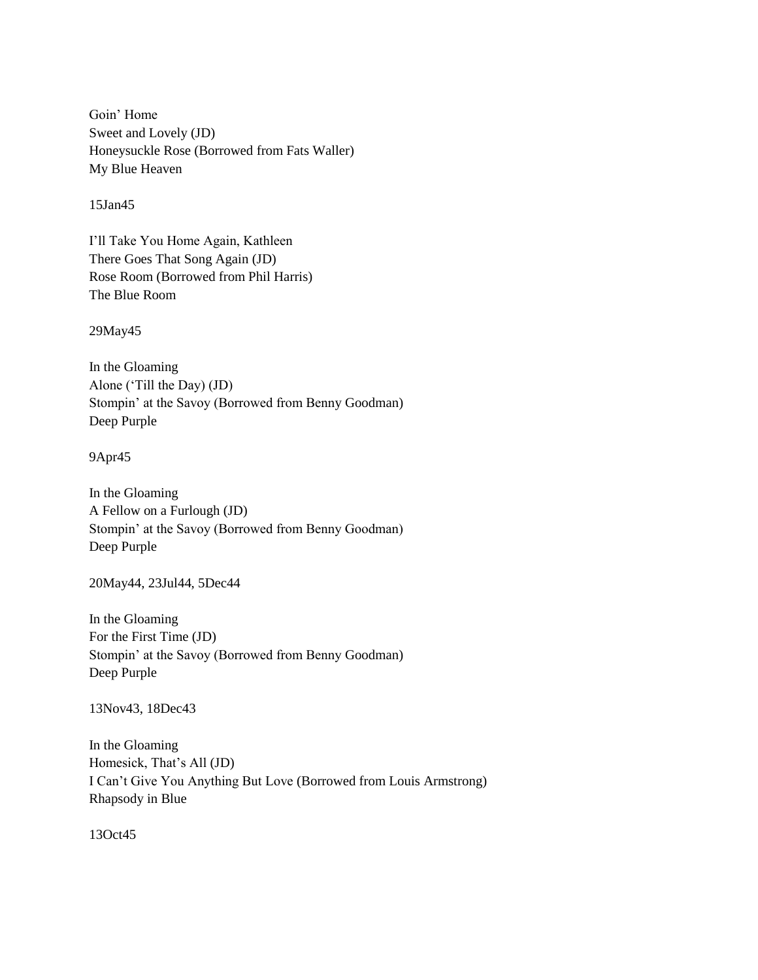Goin" Home Sweet and Lovely (JD) Honeysuckle Rose (Borrowed from Fats Waller) My Blue Heaven

15Jan45

I"ll Take You Home Again, Kathleen There Goes That Song Again (JD) Rose Room (Borrowed from Phil Harris) The Blue Room

29May45

In the Gloaming Alone ("Till the Day) (JD) Stompin" at the Savoy (Borrowed from Benny Goodman) Deep Purple

9Apr45

In the Gloaming A Fellow on a Furlough (JD) Stompin" at the Savoy (Borrowed from Benny Goodman) Deep Purple

20May44, 23Jul44, 5Dec44

In the Gloaming For the First Time (JD) Stompin" at the Savoy (Borrowed from Benny Goodman) Deep Purple

13Nov43, 18Dec43

In the Gloaming Homesick, That"s All (JD) I Can"t Give You Anything But Love (Borrowed from Louis Armstrong) Rhapsody in Blue

13Oct45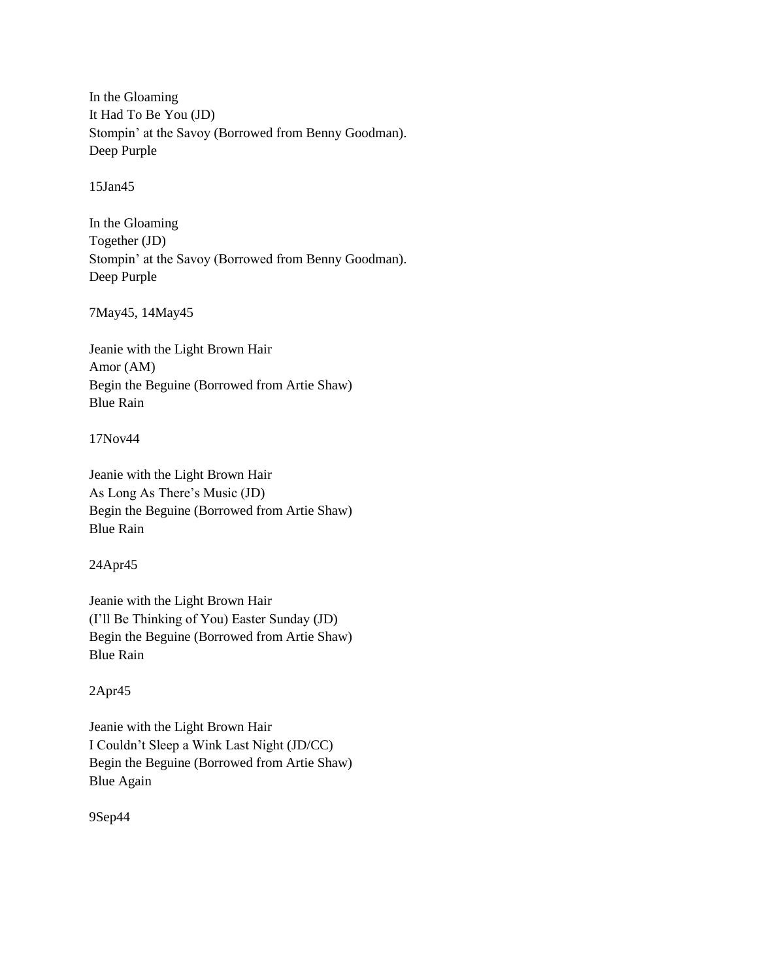In the Gloaming It Had To Be You (JD) Stompin" at the Savoy (Borrowed from Benny Goodman). Deep Purple

15Jan45

In the Gloaming Together (JD) Stompin" at the Savoy (Borrowed from Benny Goodman). Deep Purple

7May45, 14May45

Jeanie with the Light Brown Hair Amor (AM) Begin the Beguine (Borrowed from Artie Shaw) Blue Rain

17Nov44

Jeanie with the Light Brown Hair As Long As There"s Music (JD) Begin the Beguine (Borrowed from Artie Shaw) Blue Rain

24Apr45

Jeanie with the Light Brown Hair (I"ll Be Thinking of You) Easter Sunday (JD) Begin the Beguine (Borrowed from Artie Shaw) Blue Rain

# 2Apr45

Jeanie with the Light Brown Hair I Couldn"t Sleep a Wink Last Night (JD/CC) Begin the Beguine (Borrowed from Artie Shaw) Blue Again

9Sep44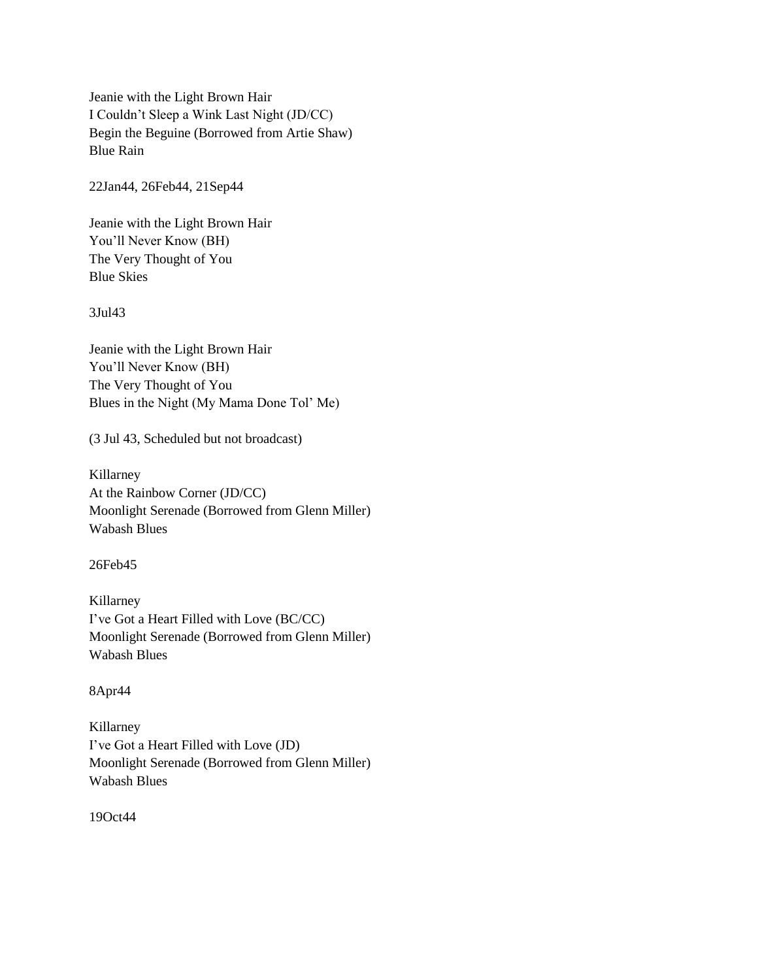Jeanie with the Light Brown Hair I Couldn"t Sleep a Wink Last Night (JD/CC) Begin the Beguine (Borrowed from Artie Shaw) Blue Rain

22Jan44, 26Feb44, 21Sep44

Jeanie with the Light Brown Hair You"ll Never Know (BH) The Very Thought of You Blue Skies

3Jul43

Jeanie with the Light Brown Hair You"ll Never Know (BH) The Very Thought of You Blues in the Night (My Mama Done Tol" Me)

(3 Jul 43, Scheduled but not broadcast)

Killarney At the Rainbow Corner (JD/CC) Moonlight Serenade (Borrowed from Glenn Miller) Wabash Blues

26Feb45

Killarney I"ve Got a Heart Filled with Love (BC/CC) Moonlight Serenade (Borrowed from Glenn Miller) Wabash Blues

8Apr44

Killarney I"ve Got a Heart Filled with Love (JD) Moonlight Serenade (Borrowed from Glenn Miller) Wabash Blues

19Oct44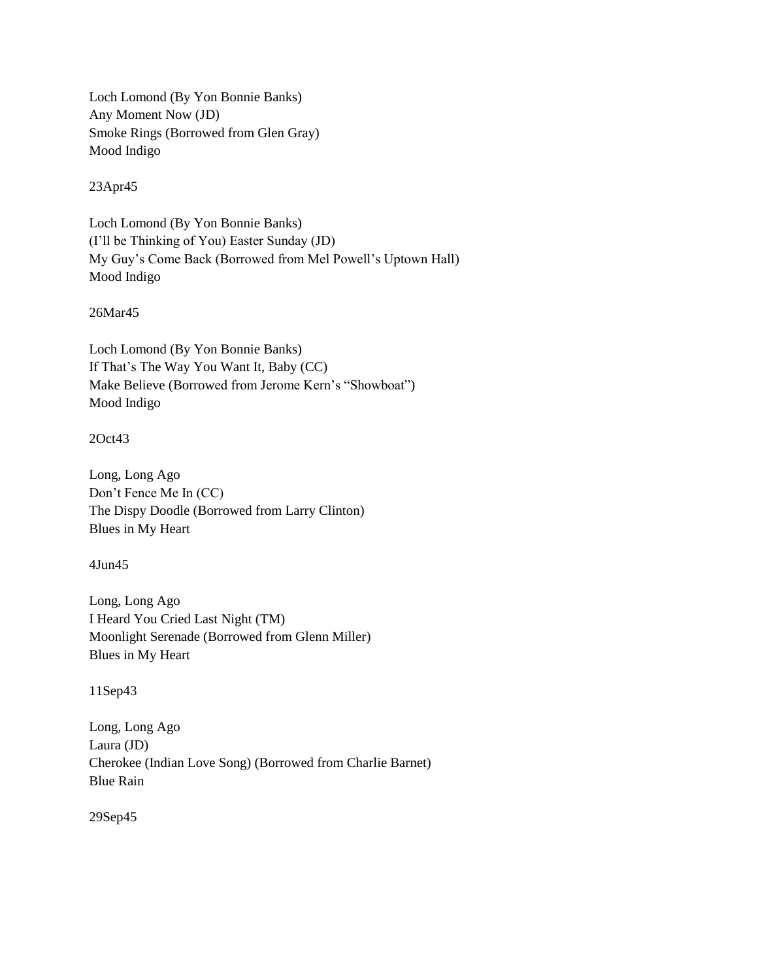Loch Lomond (By Yon Bonnie Banks) Any Moment Now (JD) Smoke Rings (Borrowed from Glen Gray) Mood Indigo

23Apr45

Loch Lomond (By Yon Bonnie Banks) (I"ll be Thinking of You) Easter Sunday (JD) My Guy"s Come Back (Borrowed from Mel Powell"s Uptown Hall) Mood Indigo

26Mar45

Loch Lomond (By Yon Bonnie Banks) If That"s The Way You Want It, Baby (CC) Make Believe (Borrowed from Jerome Kern"s "Showboat") Mood Indigo

2Oct43

Long, Long Ago Don"t Fence Me In (CC) The Dispy Doodle (Borrowed from Larry Clinton) Blues in My Heart

4Jun45

Long, Long Ago I Heard You Cried Last Night (TM) Moonlight Serenade (Borrowed from Glenn Miller) Blues in My Heart

11Sep43

Long, Long Ago Laura (JD) Cherokee (Indian Love Song) (Borrowed from Charlie Barnet) Blue Rain

29Sep45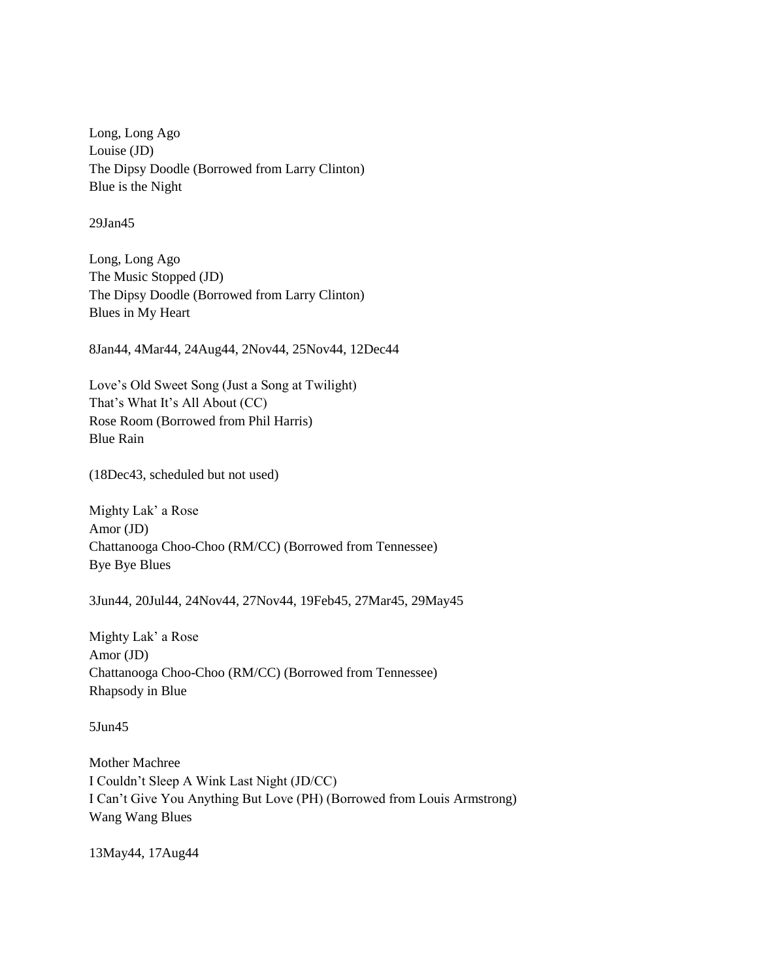Long, Long Ago Louise (JD) The Dipsy Doodle (Borrowed from Larry Clinton) Blue is the Night

29Jan45

Long, Long Ago The Music Stopped (JD) The Dipsy Doodle (Borrowed from Larry Clinton) Blues in My Heart

8Jan44, 4Mar44, 24Aug44, 2Nov44, 25Nov44, 12Dec44

Love"s Old Sweet Song (Just a Song at Twilight) That's What It's All About (CC) Rose Room (Borrowed from Phil Harris) Blue Rain

(18Dec43, scheduled but not used)

Mighty Lak" a Rose Amor (JD) Chattanooga Choo-Choo (RM/CC) (Borrowed from Tennessee) Bye Bye Blues

3Jun44, 20Jul44, 24Nov44, 27Nov44, 19Feb45, 27Mar45, 29May45

Mighty Lak" a Rose Amor (JD) Chattanooga Choo-Choo (RM/CC) (Borrowed from Tennessee) Rhapsody in Blue

5Jun45

Mother Machree I Couldn"t Sleep A Wink Last Night (JD/CC) I Can"t Give You Anything But Love (PH) (Borrowed from Louis Armstrong) Wang Wang Blues

13May44, 17Aug44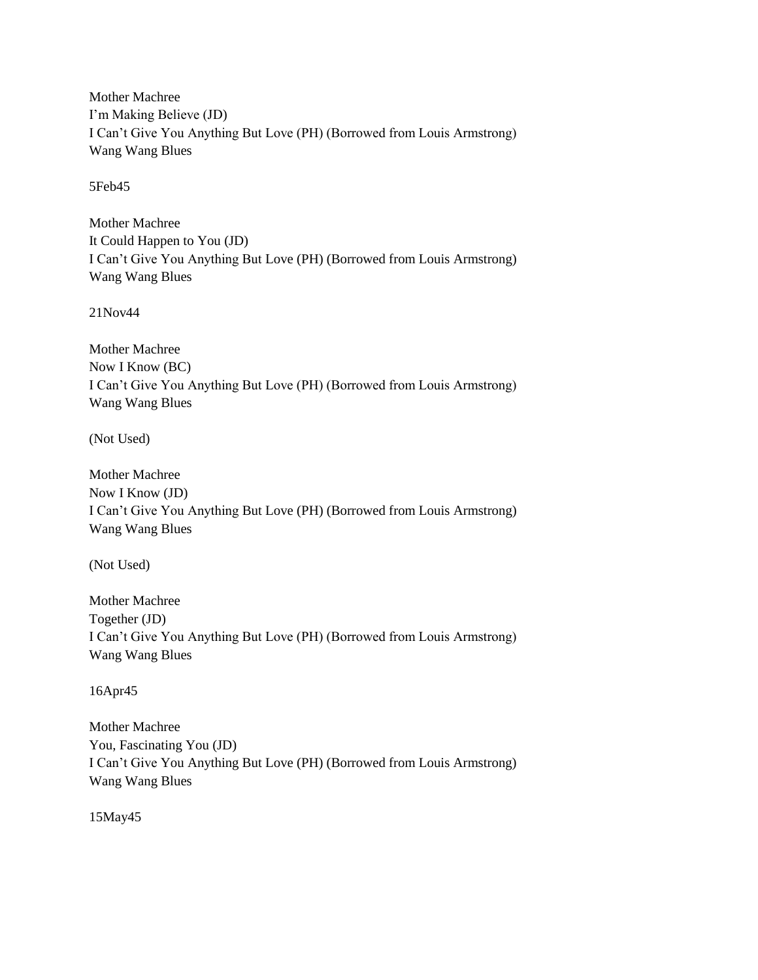Mother Machree I"m Making Believe (JD) I Can"t Give You Anything But Love (PH) (Borrowed from Louis Armstrong) Wang Wang Blues

5Feb45

Mother Machree It Could Happen to You (JD) I Can"t Give You Anything But Love (PH) (Borrowed from Louis Armstrong) Wang Wang Blues

21Nov44

Mother Machree Now I Know (BC) I Can"t Give You Anything But Love (PH) (Borrowed from Louis Armstrong) Wang Wang Blues

(Not Used)

Mother Machree Now I Know (JD) I Can"t Give You Anything But Love (PH) (Borrowed from Louis Armstrong) Wang Wang Blues

(Not Used)

Mother Machree Together (JD) I Can"t Give You Anything But Love (PH) (Borrowed from Louis Armstrong) Wang Wang Blues

16Apr45

Mother Machree You, Fascinating You (JD) I Can"t Give You Anything But Love (PH) (Borrowed from Louis Armstrong) Wang Wang Blues

15May45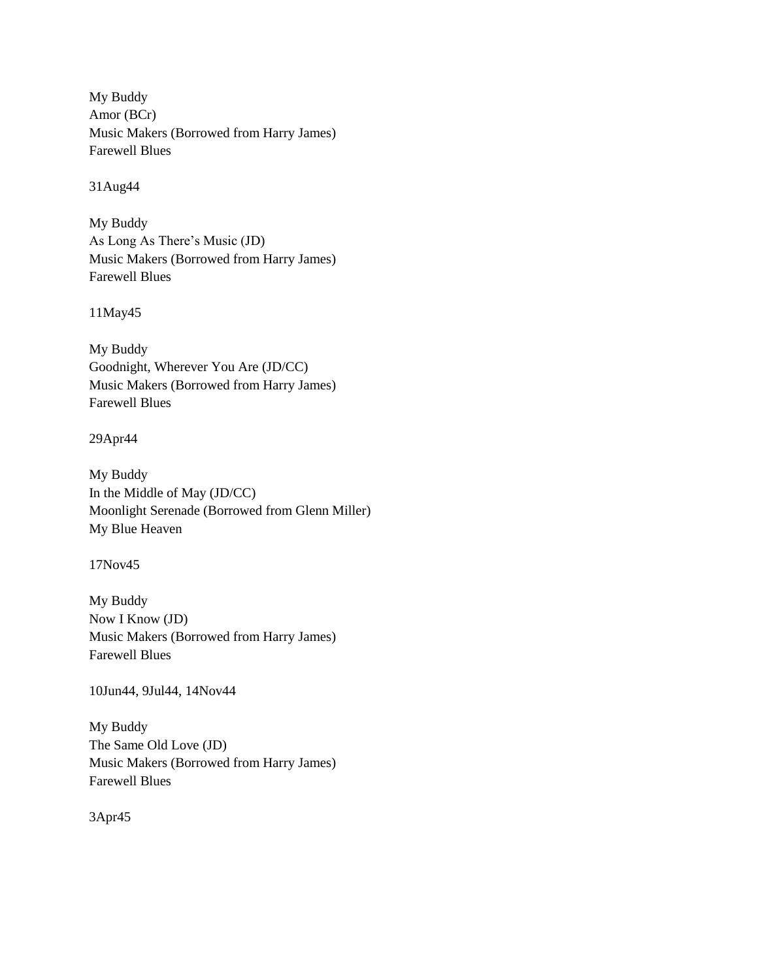My Buddy Amor (BCr) Music Makers (Borrowed from Harry James) Farewell Blues

31Aug44

My Buddy As Long As There"s Music (JD) Music Makers (Borrowed from Harry James) Farewell Blues

11May45

My Buddy Goodnight, Wherever You Are (JD/CC) Music Makers (Borrowed from Harry James) Farewell Blues

29Apr44

My Buddy In the Middle of May (JD/CC) Moonlight Serenade (Borrowed from Glenn Miller) My Blue Heaven

17Nov45

My Buddy Now I Know (JD) Music Makers (Borrowed from Harry James) Farewell Blues

10Jun44, 9Jul44, 14Nov44

My Buddy The Same Old Love (JD) Music Makers (Borrowed from Harry James) Farewell Blues

3Apr45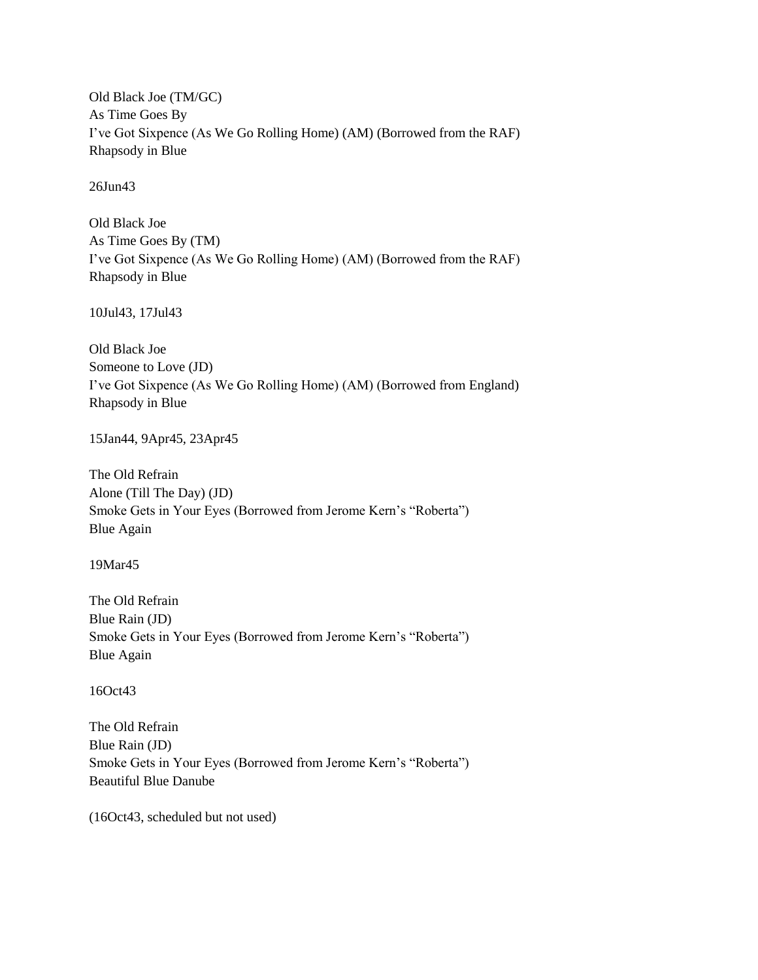Old Black Joe (TM/GC) As Time Goes By I"ve Got Sixpence (As We Go Rolling Home) (AM) (Borrowed from the RAF) Rhapsody in Blue

26Jun43

Old Black Joe As Time Goes By (TM) I"ve Got Sixpence (As We Go Rolling Home) (AM) (Borrowed from the RAF) Rhapsody in Blue

10Jul43, 17Jul43

Old Black Joe Someone to Love (JD) I"ve Got Sixpence (As We Go Rolling Home) (AM) (Borrowed from England) Rhapsody in Blue

15Jan44, 9Apr45, 23Apr45

The Old Refrain Alone (Till The Day) (JD) Smoke Gets in Your Eyes (Borrowed from Jerome Kern"s "Roberta") Blue Again

19Mar45

The Old Refrain Blue Rain (JD) Smoke Gets in Your Eyes (Borrowed from Jerome Kern's "Roberta") Blue Again

16Oct43

The Old Refrain Blue Rain (JD) Smoke Gets in Your Eyes (Borrowed from Jerome Kern's "Roberta") Beautiful Blue Danube

(16Oct43, scheduled but not used)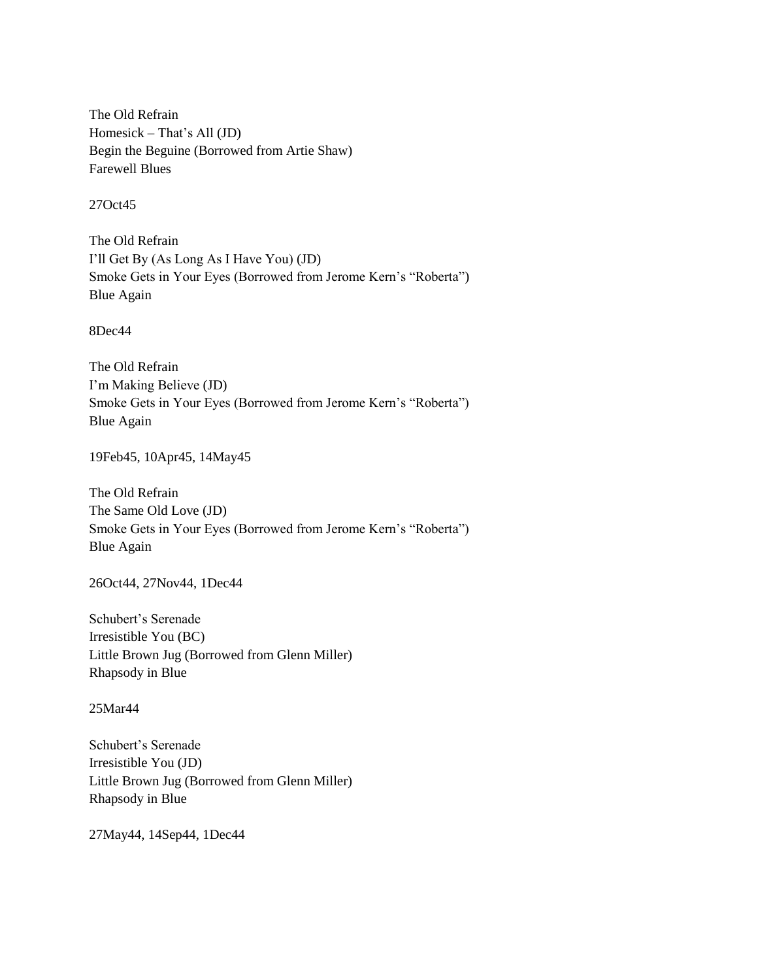The Old Refrain Homesick – That"s All (JD) Begin the Beguine (Borrowed from Artie Shaw) Farewell Blues

27Oct45

The Old Refrain I"ll Get By (As Long As I Have You) (JD) Smoke Gets in Your Eyes (Borrowed from Jerome Kern's "Roberta") Blue Again

8Dec44

The Old Refrain I"m Making Believe (JD) Smoke Gets in Your Eyes (Borrowed from Jerome Kern"s "Roberta") Blue Again

19Feb45, 10Apr45, 14May45

The Old Refrain The Same Old Love (JD) Smoke Gets in Your Eyes (Borrowed from Jerome Kern"s "Roberta") Blue Again

26Oct44, 27Nov44, 1Dec44

Schubert"s Serenade Irresistible You (BC) Little Brown Jug (Borrowed from Glenn Miller) Rhapsody in Blue

25Mar44

Schubert"s Serenade Irresistible You (JD) Little Brown Jug (Borrowed from Glenn Miller) Rhapsody in Blue

27May44, 14Sep44, 1Dec44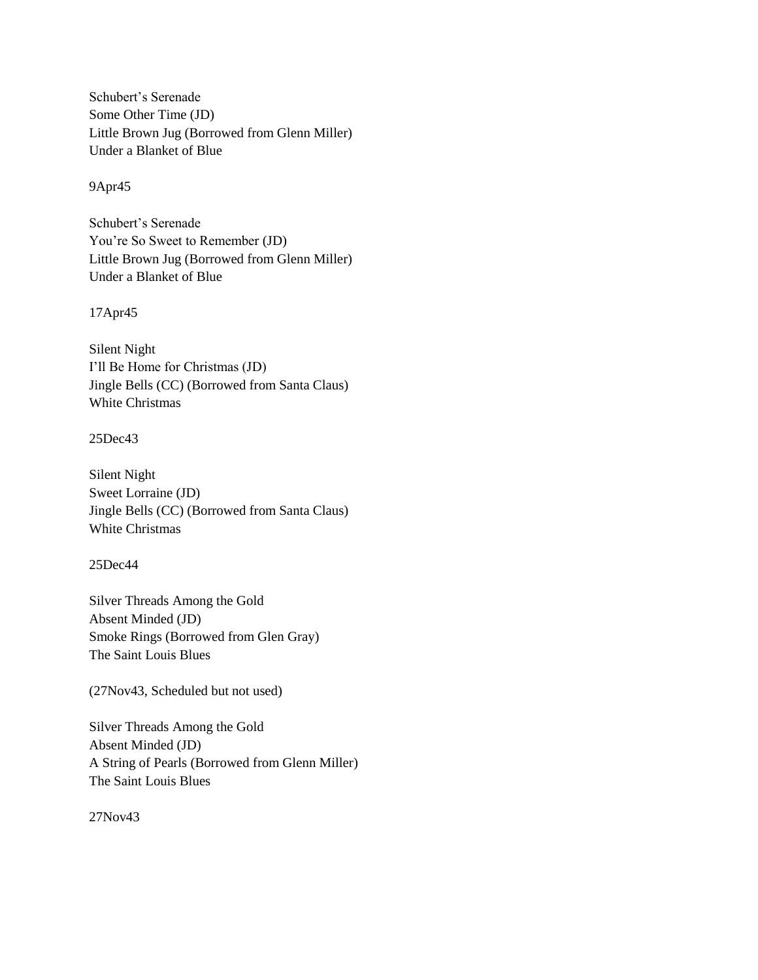Schubert"s Serenade Some Other Time (JD) Little Brown Jug (Borrowed from Glenn Miller) Under a Blanket of Blue

#### 9Apr45

Schubert"s Serenade You"re So Sweet to Remember (JD) Little Brown Jug (Borrowed from Glenn Miller) Under a Blanket of Blue

17Apr45

Silent Night I"ll Be Home for Christmas (JD) Jingle Bells (CC) (Borrowed from Santa Claus) White Christmas

## 25Dec43

Silent Night Sweet Lorraine (JD) Jingle Bells (CC) (Borrowed from Santa Claus) White Christmas

## 25Dec44

Silver Threads Among the Gold Absent Minded (JD) Smoke Rings (Borrowed from Glen Gray) The Saint Louis Blues

(27Nov43, Scheduled but not used)

Silver Threads Among the Gold Absent Minded (JD) A String of Pearls (Borrowed from Glenn Miller) The Saint Louis Blues

27Nov43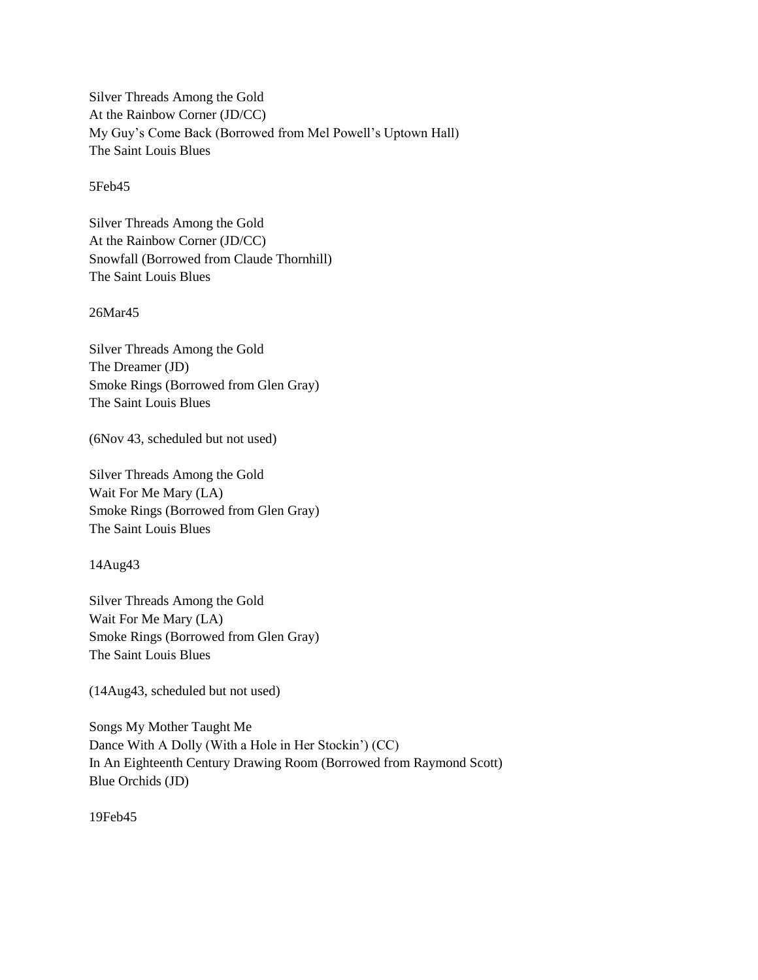Silver Threads Among the Gold At the Rainbow Corner (JD/CC) My Guy"s Come Back (Borrowed from Mel Powell"s Uptown Hall) The Saint Louis Blues

5Feb45

Silver Threads Among the Gold At the Rainbow Corner (JD/CC) Snowfall (Borrowed from Claude Thornhill) The Saint Louis Blues

26Mar45

Silver Threads Among the Gold The Dreamer (JD) Smoke Rings (Borrowed from Glen Gray) The Saint Louis Blues

(6Nov 43, scheduled but not used)

Silver Threads Among the Gold Wait For Me Mary (LA) Smoke Rings (Borrowed from Glen Gray) The Saint Louis Blues

14Aug43

Silver Threads Among the Gold Wait For Me Mary (LA) Smoke Rings (Borrowed from Glen Gray) The Saint Louis Blues

(14Aug43, scheduled but not used)

Songs My Mother Taught Me Dance With A Dolly (With a Hole in Her Stockin") (CC) In An Eighteenth Century Drawing Room (Borrowed from Raymond Scott) Blue Orchids (JD)

19Feb45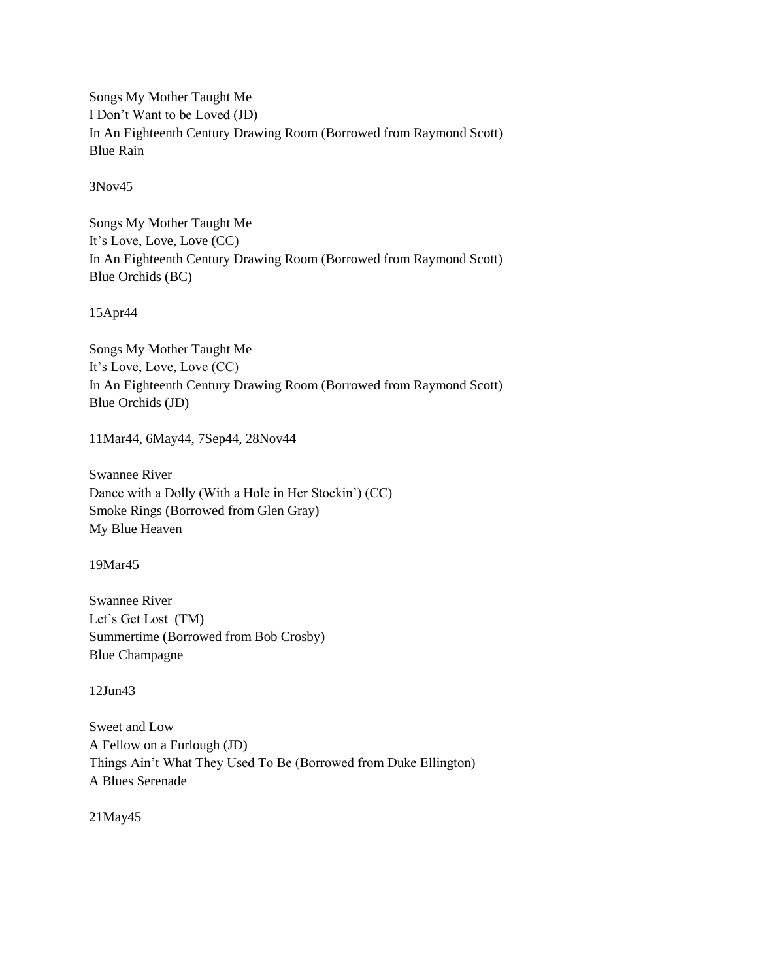Songs My Mother Taught Me I Don"t Want to be Loved (JD) In An Eighteenth Century Drawing Room (Borrowed from Raymond Scott) Blue Rain

3Nov45

Songs My Mother Taught Me It"s Love, Love, Love (CC) In An Eighteenth Century Drawing Room (Borrowed from Raymond Scott) Blue Orchids (BC)

15Apr44

Songs My Mother Taught Me It"s Love, Love, Love (CC) In An Eighteenth Century Drawing Room (Borrowed from Raymond Scott) Blue Orchids (JD)

11Mar44, 6May44, 7Sep44, 28Nov44

Swannee River Dance with a Dolly (With a Hole in Her Stockin") (CC) Smoke Rings (Borrowed from Glen Gray) My Blue Heaven

19Mar45

Swannee River Let's Get Lost (TM) Summertime (Borrowed from Bob Crosby) Blue Champagne

12Jun43

Sweet and Low A Fellow on a Furlough (JD) Things Ain"t What They Used To Be (Borrowed from Duke Ellington) A Blues Serenade

21May45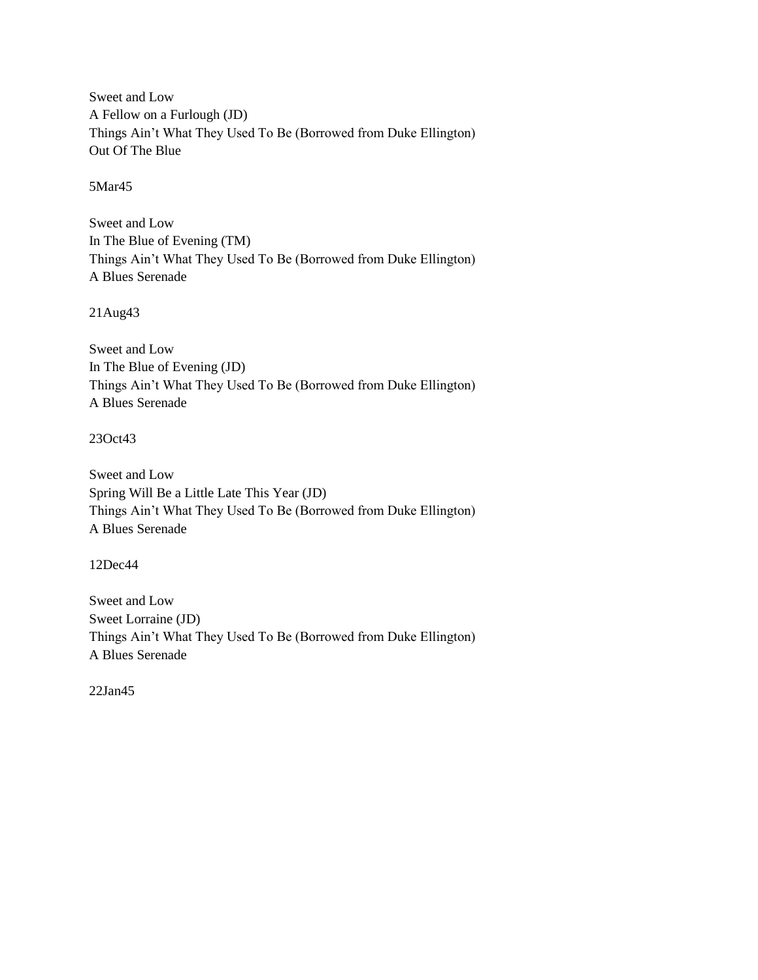Sweet and Low A Fellow on a Furlough (JD) Things Ain"t What They Used To Be (Borrowed from Duke Ellington) Out Of The Blue

5Mar45

Sweet and Low In The Blue of Evening (TM) Things Ain"t What They Used To Be (Borrowed from Duke Ellington) A Blues Serenade

21Aug43

Sweet and Low In The Blue of Evening (JD) Things Ain"t What They Used To Be (Borrowed from Duke Ellington) A Blues Serenade

## 23Oct43

Sweet and Low Spring Will Be a Little Late This Year (JD) Things Ain"t What They Used To Be (Borrowed from Duke Ellington) A Blues Serenade

12Dec44

Sweet and Low Sweet Lorraine (JD) Things Ain"t What They Used To Be (Borrowed from Duke Ellington) A Blues Serenade

22Jan45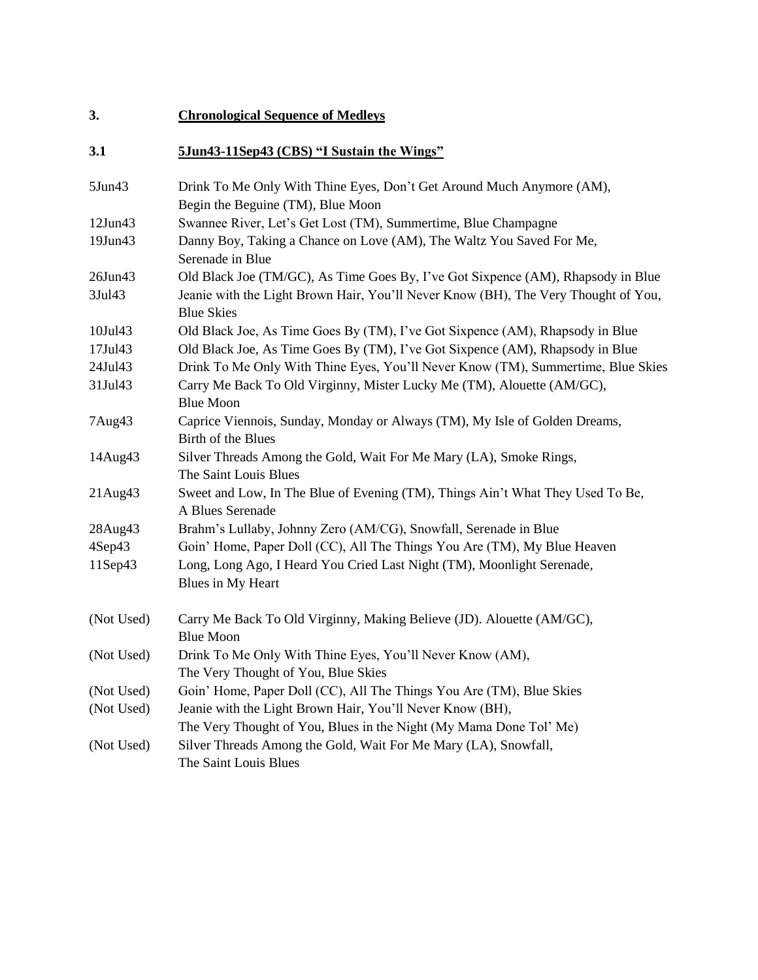| 3.           | <b>Chronological Sequence of Medleys</b>                                                                   |
|--------------|------------------------------------------------------------------------------------------------------------|
| 3.1          | 5Jun43-11Sep43 (CBS) "I Sustain the Wings"                                                                 |
| $5$ Jun $43$ | Drink To Me Only With Thine Eyes, Don't Get Around Much Anymore (AM),<br>Begin the Beguine (TM), Blue Moon |
| 12Jun43      | Swannee River, Let's Get Lost (TM), Summertime, Blue Champagne                                             |
| 19Jun43      | Danny Boy, Taking a Chance on Love (AM), The Waltz You Saved For Me,<br>Serenade in Blue                   |
| 26Jun43      | Old Black Joe (TM/GC), As Time Goes By, I've Got Sixpence (AM), Rhapsody in Blue                           |
| 3Jul43       | Jeanie with the Light Brown Hair, You'll Never Know (BH), The Very Thought of You,<br><b>Blue Skies</b>    |
| 10Jul43      | Old Black Joe, As Time Goes By (TM), I've Got Sixpence (AM), Rhapsody in Blue                              |
| 17Jul43      | Old Black Joe, As Time Goes By (TM), I've Got Sixpence (AM), Rhapsody in Blue                              |
| 24Jul43      | Drink To Me Only With Thine Eyes, You'll Never Know (TM), Summertime, Blue Skies                           |
| 31Jul43      | Carry Me Back To Old Virginny, Mister Lucky Me (TM), Alouette (AM/GC),<br><b>Blue Moon</b>                 |
| 7Aug43       | Caprice Viennois, Sunday, Monday or Always (TM), My Isle of Golden Dreams,<br>Birth of the Blues           |
| 14Aug43      | Silver Threads Among the Gold, Wait For Me Mary (LA), Smoke Rings,<br>The Saint Louis Blues                |
| 21Aug43      | Sweet and Low, In The Blue of Evening (TM), Things Ain't What They Used To Be,<br>A Blues Serenade         |
| 28Aug43      | Brahm's Lullaby, Johnny Zero (AM/CG), Snowfall, Serenade in Blue                                           |
| 4Sep43       | Goin' Home, Paper Doll (CC), All The Things You Are (TM), My Blue Heaven                                   |
| 11Sep43      | Long, Long Ago, I Heard You Cried Last Night (TM), Moonlight Serenade,<br>Blues in My Heart                |
| (Not Used)   | Carry Me Back To Old Virginny, Making Believe (JD). Alouette (AM/GC),<br><b>Blue Moon</b>                  |
| (Not Used)   | Drink To Me Only With Thine Eyes, You'll Never Know (AM),<br>The Very Thought of You, Blue Skies           |
| (Not Used)   | Goin' Home, Paper Doll (CC), All The Things You Are (TM), Blue Skies                                       |
| (Not Used)   | Jeanie with the Light Brown Hair, You'll Never Know (BH),                                                  |
|              | The Very Thought of You, Blues in the Night (My Mama Done Tol' Me)                                         |
| (Not Used)   | Silver Threads Among the Gold, Wait For Me Mary (LA), Snowfall,<br>The Saint Louis Blues                   |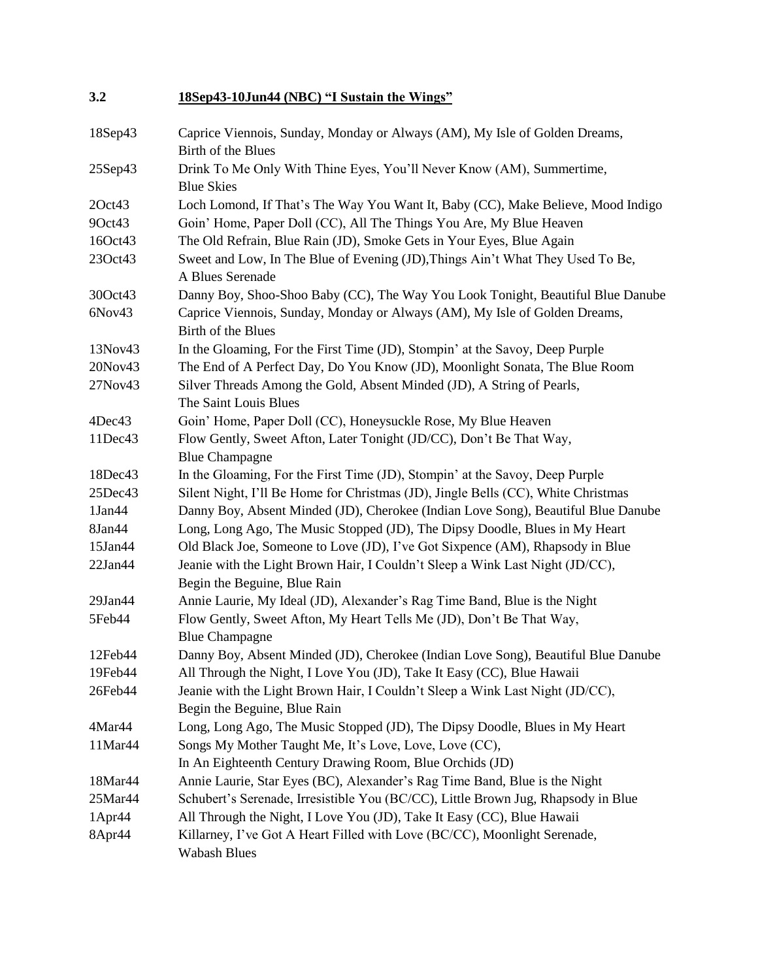| 3.2           | 18Sep43-10Jun44 (NBC) "I Sustain the Wings"                                                                   |
|---------------|---------------------------------------------------------------------------------------------------------------|
| 18Sep43       | Caprice Viennois, Sunday, Monday or Always (AM), My Isle of Golden Dreams,<br>Birth of the Blues              |
| $25$ Sep $43$ | Drink To Me Only With Thine Eyes, You'll Never Know (AM), Summertime,<br><b>Blue Skies</b>                    |
| 2Oct43        | Loch Lomond, If That's The Way You Want It, Baby (CC), Make Believe, Mood Indigo                              |
| 9Oct43        | Goin' Home, Paper Doll (CC), All The Things You Are, My Blue Heaven                                           |
| 16Oct43       | The Old Refrain, Blue Rain (JD), Smoke Gets in Your Eyes, Blue Again                                          |
| 23Oct43       | Sweet and Low, In The Blue of Evening (JD), Things Ain't What They Used To Be,<br>A Blues Serenade            |
| 30Oct43       | Danny Boy, Shoo-Shoo Baby (CC), The Way You Look Tonight, Beautiful Blue Danube                               |
| 6Nov43        | Caprice Viennois, Sunday, Monday or Always (AM), My Isle of Golden Dreams,<br>Birth of the Blues              |
| 13Nov43       | In the Gloaming, For the First Time (JD), Stompin' at the Savoy, Deep Purple                                  |
| 20Nov43       | The End of A Perfect Day, Do You Know (JD), Moonlight Sonata, The Blue Room                                   |
| 27Nov43       | Silver Threads Among the Gold, Absent Minded (JD), A String of Pearls,<br>The Saint Louis Blues               |
| 4Dec43        | Goin' Home, Paper Doll (CC), Honeysuckle Rose, My Blue Heaven                                                 |
| 11Dec43       | Flow Gently, Sweet Afton, Later Tonight (JD/CC), Don't Be That Way,<br><b>Blue Champagne</b>                  |
| 18Dec43       | In the Gloaming, For the First Time (JD), Stompin' at the Savoy, Deep Purple                                  |
| 25Dec43       | Silent Night, I'll Be Home for Christmas (JD), Jingle Bells (CC), White Christmas                             |
| 1Jan44        | Danny Boy, Absent Minded (JD), Cherokee (Indian Love Song), Beautiful Blue Danube                             |
| 8Jan44        | Long, Long Ago, The Music Stopped (JD), The Dipsy Doodle, Blues in My Heart                                   |
| 15Jan44       | Old Black Joe, Someone to Love (JD), I've Got Sixpence (AM), Rhapsody in Blue                                 |
| $22$ Jan $44$ | Jeanie with the Light Brown Hair, I Couldn't Sleep a Wink Last Night (JD/CC),<br>Begin the Beguine, Blue Rain |
| $29$ Jan $44$ | Annie Laurie, My Ideal (JD), Alexander's Rag Time Band, Blue is the Night                                     |
| 5Feb44        | Flow Gently, Sweet Afton, My Heart Tells Me (JD), Don't Be That Way,<br><b>Blue Champagne</b>                 |
| 12Feb44       | Danny Boy, Absent Minded (JD), Cherokee (Indian Love Song), Beautiful Blue Danube                             |
| 19Feb44       | All Through the Night, I Love You (JD), Take It Easy (CC), Blue Hawaii                                        |
| 26Feb44       | Jeanie with the Light Brown Hair, I Couldn't Sleep a Wink Last Night (JD/CC),                                 |
|               | Begin the Beguine, Blue Rain                                                                                  |
| 4Mar44        | Long, Long Ago, The Music Stopped (JD), The Dipsy Doodle, Blues in My Heart                                   |
| 11Mar44       | Songs My Mother Taught Me, It's Love, Love, Love (CC),                                                        |
|               | In An Eighteenth Century Drawing Room, Blue Orchids (JD)                                                      |
| 18Mar44       | Annie Laurie, Star Eyes (BC), Alexander's Rag Time Band, Blue is the Night                                    |
| 25Mar44       | Schubert's Serenade, Irresistible You (BC/CC), Little Brown Jug, Rhapsody in Blue                             |
| 1Apr44        | All Through the Night, I Love You (JD), Take It Easy (CC), Blue Hawaii                                        |
| 8Apr44        | Killarney, I've Got A Heart Filled with Love (BC/CC), Moonlight Serenade,<br><b>Wabash Blues</b>              |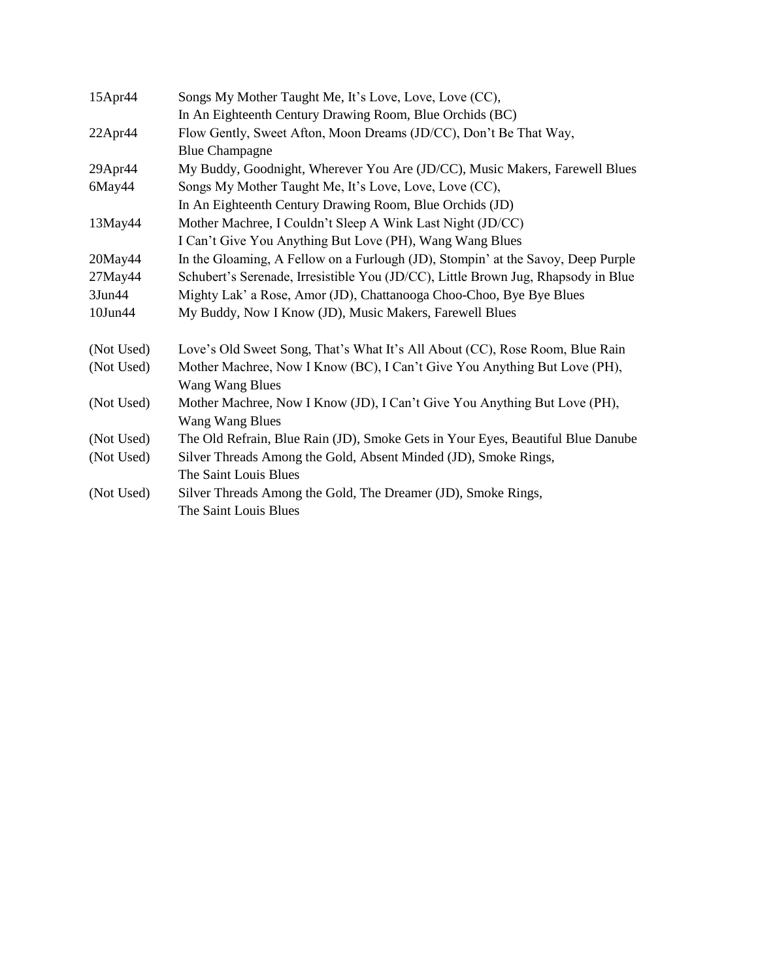| In An Eighteenth Century Drawing Room, Blue Orchids (BC)<br>Flow Gently, Sweet Afton, Moon Dreams (JD/CC), Don't Be That Way,<br>22Apr44 |  |
|------------------------------------------------------------------------------------------------------------------------------------------|--|
|                                                                                                                                          |  |
|                                                                                                                                          |  |
| <b>Blue Champagne</b>                                                                                                                    |  |
| My Buddy, Goodnight, Wherever You Are (JD/CC), Music Makers, Farewell Blues<br>$29$ Apr $44$                                             |  |
| 6May44<br>Songs My Mother Taught Me, It's Love, Love, Love (CC),                                                                         |  |
| In An Eighteenth Century Drawing Room, Blue Orchids (JD)                                                                                 |  |
| Mother Machree, I Couldn't Sleep A Wink Last Night (JD/CC)<br>13May44                                                                    |  |
| I Can't Give You Anything But Love (PH), Wang Wang Blues                                                                                 |  |
| In the Gloaming, A Fellow on a Furlough (JD), Stompin' at the Savoy, Deep Purple<br>$20$ May $44$                                        |  |
| Schubert's Serenade, Irresistible You (JD/CC), Little Brown Jug, Rhapsody in Blue<br>$27$ May $44$                                       |  |
| $3$ Jun $44$<br>Mighty Lak' a Rose, Amor (JD), Chattanooga Choo-Choo, Bye Bye Blues                                                      |  |
| 10Jun44<br>My Buddy, Now I Know (JD), Music Makers, Farewell Blues                                                                       |  |
| Love's Old Sweet Song, That's What It's All About (CC), Rose Room, Blue Rain<br>(Not Used)                                               |  |
| Mother Machree, Now I Know (BC), I Can't Give You Anything But Love (PH),<br>(Not Used)                                                  |  |
| Wang Wang Blues                                                                                                                          |  |
| Mother Machree, Now I Know (JD), I Can't Give You Anything But Love (PH),<br>(Not Used)                                                  |  |
| Wang Wang Blues                                                                                                                          |  |
| (Not Used)<br>The Old Refrain, Blue Rain (JD), Smoke Gets in Your Eyes, Beautiful Blue Danube                                            |  |
| (Not Used)<br>Silver Threads Among the Gold, Absent Minded (JD), Smoke Rings,                                                            |  |
| The Saint Louis Blues                                                                                                                    |  |
| (Not Used)<br>Silver Threads Among the Gold, The Dreamer (JD), Smoke Rings,                                                              |  |
| The Saint Louis Blues                                                                                                                    |  |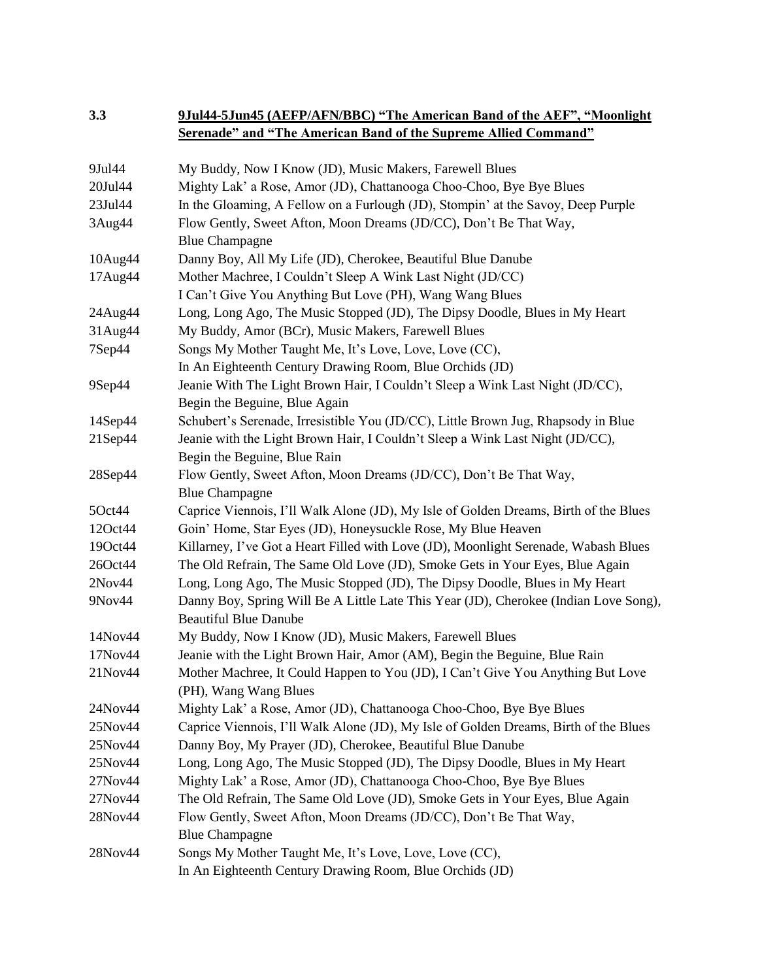# **3.3 9Jul44-5Jun45 (AEFP/AFN/BBC) "The American Band of the AEF", "Moonlight Serenade" and "The American Band of the Supreme Allied Command"**

| 9Jul44        | My Buddy, Now I Know (JD), Music Makers, Farewell Blues                              |
|---------------|--------------------------------------------------------------------------------------|
| 20Jul44       | Mighty Lak' a Rose, Amor (JD), Chattanooga Choo-Choo, Bye Bye Blues                  |
| 23Jul44       | In the Gloaming, A Fellow on a Furlough (JD), Stompin' at the Savoy, Deep Purple     |
| 3Aug44        | Flow Gently, Sweet Afton, Moon Dreams (JD/CC), Don't Be That Way,                    |
|               | <b>Blue Champagne</b>                                                                |
| 10Aug44       | Danny Boy, All My Life (JD), Cherokee, Beautiful Blue Danube                         |
| 17Aug44       | Mother Machree, I Couldn't Sleep A Wink Last Night (JD/CC)                           |
|               | I Can't Give You Anything But Love (PH), Wang Wang Blues                             |
| 24Aug44       | Long, Long Ago, The Music Stopped (JD), The Dipsy Doodle, Blues in My Heart          |
| 31Aug44       | My Buddy, Amor (BCr), Music Makers, Farewell Blues                                   |
| 7Sep44        | Songs My Mother Taught Me, It's Love, Love, Love (CC),                               |
|               | In An Eighteenth Century Drawing Room, Blue Orchids (JD)                             |
| 9Sep44        | Jeanie With The Light Brown Hair, I Couldn't Sleep a Wink Last Night (JD/CC),        |
|               | Begin the Beguine, Blue Again                                                        |
| $14$ Sep $44$ | Schubert's Serenade, Irresistible You (JD/CC), Little Brown Jug, Rhapsody in Blue    |
| 21Sep44       | Jeanie with the Light Brown Hair, I Couldn't Sleep a Wink Last Night (JD/CC),        |
|               | Begin the Beguine, Blue Rain                                                         |
| 28Sep44       | Flow Gently, Sweet Afton, Moon Dreams (JD/CC), Don't Be That Way,                    |
|               | <b>Blue Champagne</b>                                                                |
| 5Oct44        | Caprice Viennois, I'll Walk Alone (JD), My Isle of Golden Dreams, Birth of the Blues |
| 12Oct44       | Goin' Home, Star Eyes (JD), Honeysuckle Rose, My Blue Heaven                         |
| 19Oct44       | Killarney, I've Got a Heart Filled with Love (JD), Moonlight Serenade, Wabash Blues  |
| 26Oct44       | The Old Refrain, The Same Old Love (JD), Smoke Gets in Your Eyes, Blue Again         |
| 2Nov44        | Long, Long Ago, The Music Stopped (JD), The Dipsy Doodle, Blues in My Heart          |
| 9Nov44        | Danny Boy, Spring Will Be A Little Late This Year (JD), Cherokee (Indian Love Song), |
|               | <b>Beautiful Blue Danube</b>                                                         |
| 14Nov44       | My Buddy, Now I Know (JD), Music Makers, Farewell Blues                              |
| 17Nov44       | Jeanie with the Light Brown Hair, Amor (AM), Begin the Beguine, Blue Rain            |
| 21Nov44       | Mother Machree, It Could Happen to You (JD), I Can't Give You Anything But Love      |
|               | (PH), Wang Wang Blues                                                                |
| 24Nov44       | Mighty Lak' a Rose, Amor (JD), Chattanooga Choo-Choo, Bye Bye Blues                  |
| 25Nov44       | Caprice Viennois, I'll Walk Alone (JD), My Isle of Golden Dreams, Birth of the Blues |
| 25Nov44       | Danny Boy, My Prayer (JD), Cherokee, Beautiful Blue Danube                           |
| 25Nov44       | Long, Long Ago, The Music Stopped (JD), The Dipsy Doodle, Blues in My Heart          |
| 27Nov44       | Mighty Lak' a Rose, Amor (JD), Chattanooga Choo-Choo, Bye Bye Blues                  |
| 27Nov44       | The Old Refrain, The Same Old Love (JD), Smoke Gets in Your Eyes, Blue Again         |
| 28Nov44       | Flow Gently, Sweet Afton, Moon Dreams (JD/CC), Don't Be That Way,                    |
|               | <b>Blue Champagne</b>                                                                |
| 28Nov44       | Songs My Mother Taught Me, It's Love, Love, Love (CC),                               |
|               | In An Eighteenth Century Drawing Room, Blue Orchids (JD)                             |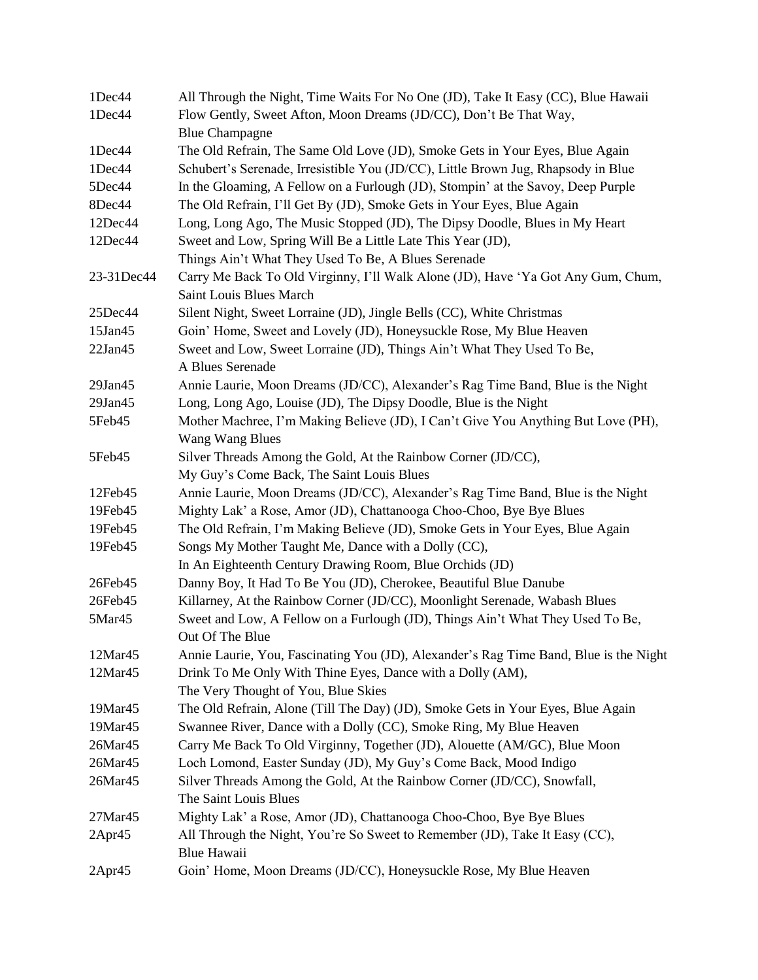| 1Dec44        | All Through the Night, Time Waits For No One (JD), Take It Easy (CC), Blue Hawaii                 |
|---------------|---------------------------------------------------------------------------------------------------|
| 1Dec44        | Flow Gently, Sweet Afton, Moon Dreams (JD/CC), Don't Be That Way,                                 |
|               | <b>Blue Champagne</b>                                                                             |
| 1Dec44        | The Old Refrain, The Same Old Love (JD), Smoke Gets in Your Eyes, Blue Again                      |
| 1Dec44        | Schubert's Serenade, Irresistible You (JD/CC), Little Brown Jug, Rhapsody in Blue                 |
| 5Dec44        | In the Gloaming, A Fellow on a Furlough (JD), Stompin' at the Savoy, Deep Purple                  |
| 8Dec44        | The Old Refrain, I'll Get By (JD), Smoke Gets in Your Eyes, Blue Again                            |
| 12Dec44       | Long, Long Ago, The Music Stopped (JD), The Dipsy Doodle, Blues in My Heart                       |
| 12Dec44       | Sweet and Low, Spring Will Be a Little Late This Year (JD),                                       |
|               | Things Ain't What They Used To Be, A Blues Serenade                                               |
| 23-31Dec44    | Carry Me Back To Old Virginny, I'll Walk Alone (JD), Have 'Ya Got Any Gum, Chum,                  |
|               | Saint Louis Blues March                                                                           |
| 25Dec44       | Silent Night, Sweet Lorraine (JD), Jingle Bells (CC), White Christmas                             |
| 15Jan45       | Goin' Home, Sweet and Lovely (JD), Honeysuckle Rose, My Blue Heaven                               |
| $22$ Jan $45$ | Sweet and Low, Sweet Lorraine (JD), Things Ain't What They Used To Be,                            |
|               | A Blues Serenade                                                                                  |
| 29Jan45       | Annie Laurie, Moon Dreams (JD/CC), Alexander's Rag Time Band, Blue is the Night                   |
| $29$ Jan $45$ | Long, Long Ago, Louise (JD), The Dipsy Doodle, Blue is the Night                                  |
| 5Feb45        | Mother Machree, I'm Making Believe (JD), I Can't Give You Anything But Love (PH),                 |
|               | <b>Wang Wang Blues</b>                                                                            |
| 5Feb45        | Silver Threads Among the Gold, At the Rainbow Corner (JD/CC),                                     |
|               | My Guy's Come Back, The Saint Louis Blues                                                         |
| 12Feb45       | Annie Laurie, Moon Dreams (JD/CC), Alexander's Rag Time Band, Blue is the Night                   |
| 19Feb45       | Mighty Lak' a Rose, Amor (JD), Chattanooga Choo-Choo, Bye Bye Blues                               |
| 19Feb45       | The Old Refrain, I'm Making Believe (JD), Smoke Gets in Your Eyes, Blue Again                     |
| 19Feb45       | Songs My Mother Taught Me, Dance with a Dolly (CC),                                               |
|               | In An Eighteenth Century Drawing Room, Blue Orchids (JD)                                          |
| 26Feb45       | Danny Boy, It Had To Be You (JD), Cherokee, Beautiful Blue Danube                                 |
| 26Feb45       | Killarney, At the Rainbow Corner (JD/CC), Moonlight Serenade, Wabash Blues                        |
| 5Mar45        | Sweet and Low, A Fellow on a Furlough (JD), Things Ain't What They Used To Be,<br>Out Of The Blue |
| 12Mar45       | Annie Laurie, You, Fascinating You (JD), Alexander's Rag Time Band, Blue is the Night             |
| 12Mar45       | Drink To Me Only With Thine Eyes, Dance with a Dolly (AM),                                        |
|               | The Very Thought of You, Blue Skies                                                               |
| 19Mar45       | The Old Refrain, Alone (Till The Day) (JD), Smoke Gets in Your Eyes, Blue Again                   |
| 19Mar45       | Swannee River, Dance with a Dolly (CC), Smoke Ring, My Blue Heaven                                |
| $26$ Mar $45$ | Carry Me Back To Old Virginny, Together (JD), Alouette (AM/GC), Blue Moon                         |
| $26$ Mar $45$ | Loch Lomond, Easter Sunday (JD), My Guy's Come Back, Mood Indigo                                  |
| 26Mar45       | Silver Threads Among the Gold, At the Rainbow Corner (JD/CC), Snowfall,                           |
|               | The Saint Louis Blues                                                                             |
| $27$ Mar $45$ | Mighty Lak' a Rose, Amor (JD), Chattanooga Choo-Choo, Bye Bye Blues                               |
| 2Apr45        | All Through the Night, You're So Sweet to Remember (JD), Take It Easy (CC),                       |
|               | Blue Hawaii                                                                                       |
| 2Apr45        | Goin' Home, Moon Dreams (JD/CC), Honeysuckle Rose, My Blue Heaven                                 |
|               |                                                                                                   |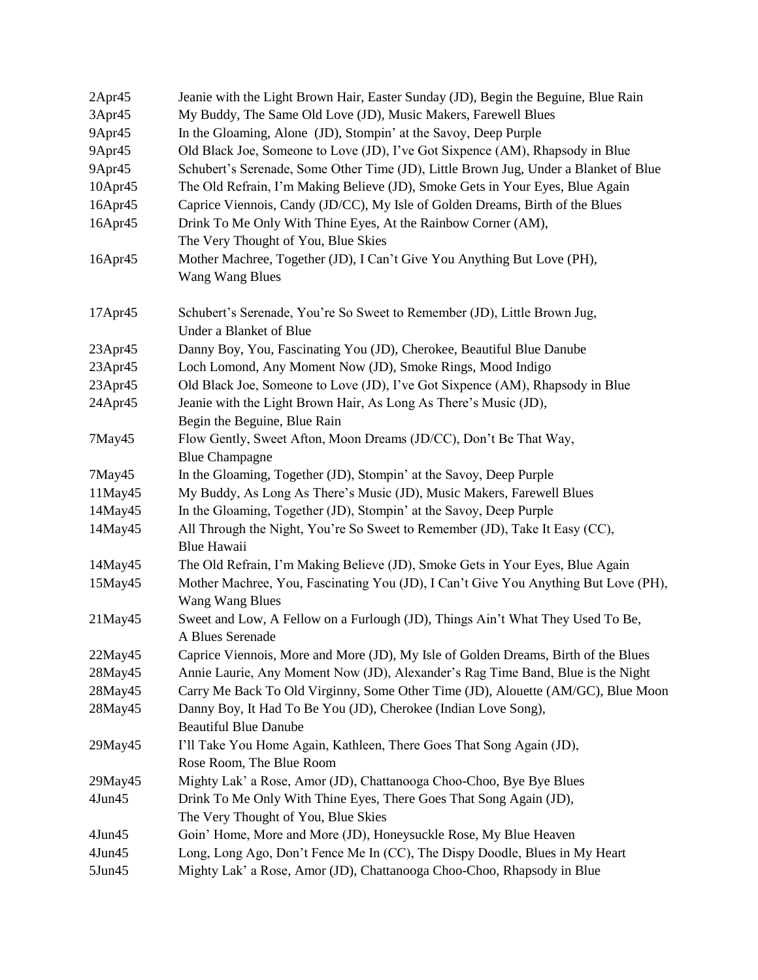| 2Apr45        | Jeanie with the Light Brown Hair, Easter Sunday (JD), Begin the Beguine, Blue Rain                         |
|---------------|------------------------------------------------------------------------------------------------------------|
| 3Apr45        | My Buddy, The Same Old Love (JD), Music Makers, Farewell Blues                                             |
| 9Apr45        | In the Gloaming, Alone (JD), Stompin' at the Savoy, Deep Purple                                            |
| 9Apr45        | Old Black Joe, Someone to Love (JD), I've Got Sixpence (AM), Rhapsody in Blue                              |
| 9Apr45        | Schubert's Serenade, Some Other Time (JD), Little Brown Jug, Under a Blanket of Blue                       |
| 10Apr45       | The Old Refrain, I'm Making Believe (JD), Smoke Gets in Your Eyes, Blue Again                              |
| 16Apr45       | Caprice Viennois, Candy (JD/CC), My Isle of Golden Dreams, Birth of the Blues                              |
| 16Apr45       | Drink To Me Only With Thine Eyes, At the Rainbow Corner (AM),                                              |
|               | The Very Thought of You, Blue Skies                                                                        |
| 16Apr45       | Mother Machree, Together (JD), I Can't Give You Anything But Love (PH),<br>Wang Wang Blues                 |
| 17Apr45       | Schubert's Serenade, You're So Sweet to Remember (JD), Little Brown Jug,<br><b>Under a Blanket of Blue</b> |
| 23Apr45       | Danny Boy, You, Fascinating You (JD), Cherokee, Beautiful Blue Danube                                      |
| 23Apr45       | Loch Lomond, Any Moment Now (JD), Smoke Rings, Mood Indigo                                                 |
| 23Apr45       | Old Black Joe, Someone to Love (JD), I've Got Sixpence (AM), Rhapsody in Blue                              |
| 24Apr45       | Jeanie with the Light Brown Hair, As Long As There's Music (JD),                                           |
|               | Begin the Beguine, Blue Rain                                                                               |
| 7May45        | Flow Gently, Sweet Afton, Moon Dreams (JD/CC), Don't Be That Way,                                          |
|               | <b>Blue Champagne</b>                                                                                      |
| 7May45        | In the Gloaming, Together (JD), Stompin' at the Savoy, Deep Purple                                         |
| 11May45       | My Buddy, As Long As There's Music (JD), Music Makers, Farewell Blues                                      |
| 14May45       | In the Gloaming, Together (JD), Stompin' at the Savoy, Deep Purple                                         |
| 14May45       | All Through the Night, You're So Sweet to Remember (JD), Take It Easy (CC),<br>Blue Hawaii                 |
| 14May45       | The Old Refrain, I'm Making Believe (JD), Smoke Gets in Your Eyes, Blue Again                              |
| 15May45       | Mother Machree, You, Fascinating You (JD), I Can't Give You Anything But Love (PH),                        |
|               | Wang Wang Blues                                                                                            |
| $21$ May $45$ | Sweet and Low, A Fellow on a Furlough (JD), Things Ain't What They Used To Be,<br>A Blues Serenade         |
| $22$ May $45$ | Caprice Viennois, More and More (JD), My Isle of Golden Dreams, Birth of the Blues                         |
| 28May45       | Annie Laurie, Any Moment Now (JD), Alexander's Rag Time Band, Blue is the Night                            |
| 28May45       | Carry Me Back To Old Virginny, Some Other Time (JD), Alouette (AM/GC), Blue Moon                           |
| 28May45       | Danny Boy, It Had To Be You (JD), Cherokee (Indian Love Song),                                             |
|               | <b>Beautiful Blue Danube</b>                                                                               |
| 29May45       | I'll Take You Home Again, Kathleen, There Goes That Song Again (JD),                                       |
|               | Rose Room, The Blue Room                                                                                   |
| 29May45       | Mighty Lak' a Rose, Amor (JD), Chattanooga Choo-Choo, Bye Bye Blues                                        |
| 4Jun45        | Drink To Me Only With Thine Eyes, There Goes That Song Again (JD),                                         |
|               | The Very Thought of You, Blue Skies                                                                        |
| $4$ Jun $45$  | Goin' Home, More and More (JD), Honeysuckle Rose, My Blue Heaven                                           |
| 4Jun45        | Long, Long Ago, Don't Fence Me In (CC), The Dispy Doodle, Blues in My Heart                                |
| $5$ Jun $45$  | Mighty Lak' a Rose, Amor (JD), Chattanooga Choo-Choo, Rhapsody in Blue                                     |